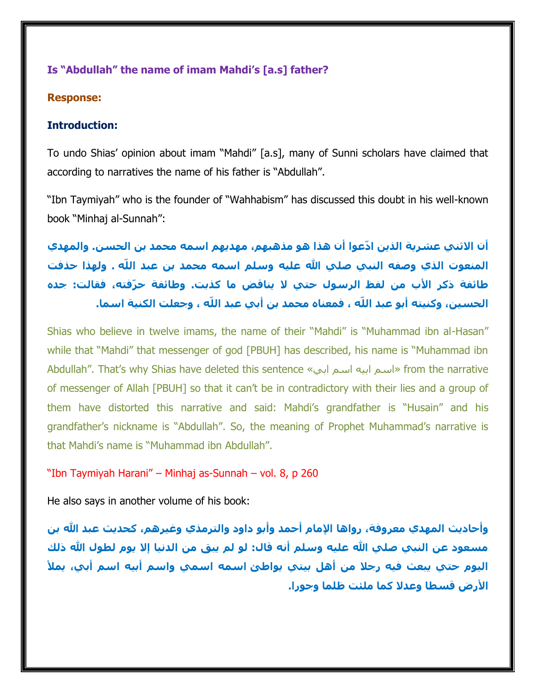### **Is "Abdullah" the name of imam Mahdi's [a.s] father?**

#### **Response:**

#### **Introduction:**

To undo Shias' opinion about imam "Mahdi" [a.s], many of Sunni scholars have claimed that according to narratives the name of his father is "Abdullah".

"Ibn Taymiyah" who is the founder of "Wahhabism" has discussed this doubt in his well-known book "Minhaj al-Sunnah":

**أن االثني عشرية الذين ادّعوا أن هذا هو مذهبهم، مهديهم اسمه محمد بن الحسن. والمهدي المنعوت الذي وصفه النبي صلي هللا عليه وسلم اسمه محمد بن عبد اللّه . ولهذا حذفت طائفة ذكر األب من لفظ الرسول حتي ال يناقض ما كذبت. وطائفة حرّفته، فقالت: جده الحسين، وكنيته أبو عبد اللّه ، فمعناه محمد بن أبي عبد اللّه ، وجعلت الكنية اسما.**

Shias who believe in twelve imams, the name of their "Mahdi" is "Muhammad ibn al-Hasan" while that "Mahdi" that messenger of god [PBUH] has described, his name is "Muhammad ibn Abdullah". That's why Shias have deleted this sentence «ابي اسم ابيه اسم «from the narrative of messenger of Allah [PBUH] so that it can't be in contradictory with their lies and a group of them have distorted this narrative and said: Mahdi's grandfather is "Husain" and his grandfather's nickname is "Abdullah". So, the meaning of Prophet Muhammad's narrative is that Mahdi's name is "Muhammad ibn Abdullah".

#### "Ibn Taymiyah Harani" – Minhaj as-Sunnah – vol. 8, p 260

He also says in another volume of his book:

**وأحاديث المهدي معروفة، رواها اإلمام أحمد وأبو داود والترمذي وغيرهم، كحديث عبد هللا بن**  مسعود عن النبي صلي الله عليه وسلم أنه قال: لو لم يبق من الدنيا إلا يوم لطول الله ذلك **اليوم حتي يبعث فيه رجال من أهل بيتي يواطئ اسمه اسمي واسم أبيه اسم أبي، يمأل األرض قسطا وعدال كما ملئت ظلما وجورا.**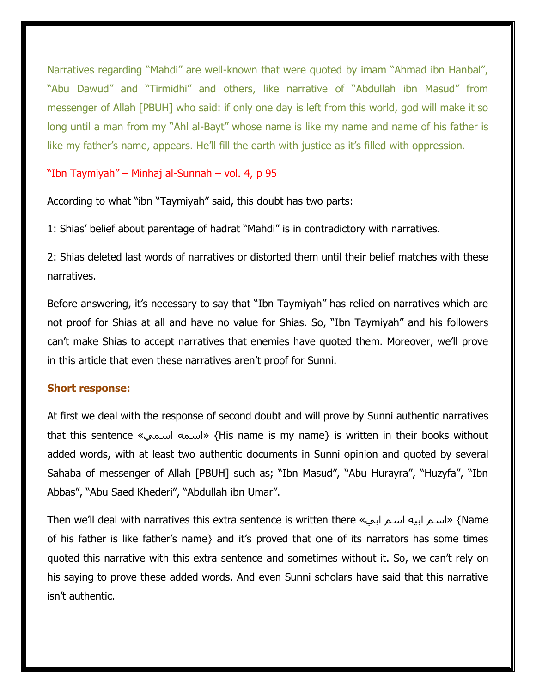Narratives regarding "Mahdi" are well-known that were quoted by imam "Ahmad ibn Hanbal", "Abu Dawud" and "Tirmidhi" and others, like narrative of "Abdullah ibn Masud" from messenger of Allah [PBUH] who said: if only one day is left from this world, god will make it so long until a man from my "Ahl al-Bayt" whose name is like my name and name of his father is like my father's name, appears. He'll fill the earth with justice as it's filled with oppression.

### "Ibn Taymiyah" – Minhaj al-Sunnah – vol. 4, p 95

According to what "ibn "Taymiyah" said, this doubt has two parts:

1: Shias' belief about parentage of hadrat "Mahdi" is in contradictory with narratives.

2: Shias deleted last words of narratives or distorted them until their belief matches with these narratives.

Before answering, it's necessary to say that "Ibn Taymiyah" has relied on narratives which are not proof for Shias at all and have no value for Shias. So, "Ibn Taymiyah" and his followers can't make Shias to accept narratives that enemies have quoted them. Moreover, we'll prove in this article that even these narratives aren't proof for Sunni.

#### **Short response:**

At first we deal with the response of second doubt and will prove by Sunni authentic narratives that this sentence «اسمي اسمه} «His name is my name} is written in their books without added words, with at least two authentic documents in Sunni opinion and quoted by several Sahaba of messenger of Allah [PBUH] such as; "Ibn Masud", "Abu Hurayra", "Huzyfa", "Ibn Abbas", "Abu Saed Khederi", "Abdullah ibn Umar".

Then we'll deal with narratives this extra sentence is written there «ابي اسم ابيه اسم} «Name of his father is like father's name} and it's proved that one of its narrators has some times quoted this narrative with this extra sentence and sometimes without it. So, we can't rely on his saying to prove these added words. And even Sunni scholars have said that this narrative isn't authentic.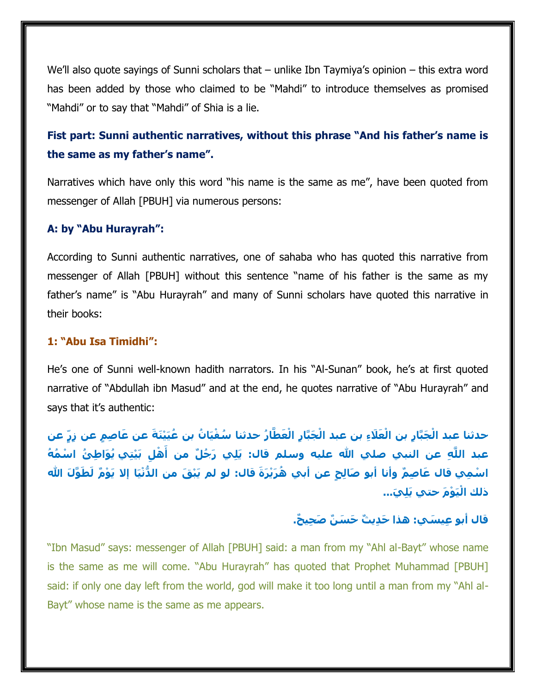We'll also quote sayings of Sunni scholars that – unlike Ibn Taymiya's opinion – this extra word has been added by those who claimed to be "Mahdi" to introduce themselves as promised "Mahdi" or to say that "Mahdi" of Shia is a lie.

# **Fist part: Sunni authentic narratives, without this phrase "And his father's name is the same as my father's name".**

Narratives which have only this word "his name is the same as me", have been quoted from messenger of Allah [PBUH] via numerous persons:

#### **A: by "Abu Hurayrah":**

According to Sunni authentic narratives, one of sahaba who has quoted this narrative from messenger of Allah [PBUH] without this sentence "name of his father is the same as my father's name" is "Abu Hurayrah" and many of Sunni scholars have quoted this narrative in their books:

#### **1: "Abu Isa Timidhi":**

He's one of Sunni well-known hadith narrators. In his "Al-Sunan" book, he's at first quoted narrative of "Abdullah ibn Masud" and at the end, he quotes narrative of "Abu Hurayrah" and says that it's authentic:

حدثنا عبد الْجَبَّارِ بن الْعَلَاءِ بن عبد الْجَبَّارِ الْعَطَّارُ حدثنا سُفْيَانُ بن عُيَيْنَةً عن عَاصِمٍ عن زِرٍّ عن عبد اللَّهِ عن النبي صلي الله عليه وسلم قال: يَلِي رَجُلٌ من أَهْلِ بَيْتِي يُوَاطِئُ اسْمُهُ اسْمِي قال عَاصِمٌ وأنا أبو صَالِحٍ عن أبي هُرَيْرَةَ قال: لو لم يَبْقَ من الدُّنْيَا إلا يَوْمٌ لَطَوَّلَ الله **َي... ذلك اْليَ ْو َم حتي يَلِ**

## **قال أبو ِعي َسي: هذا َح ِدي ٌث َح َس ٌن َص ِحي ٌح.**

"Ibn Masud" says: messenger of Allah [PBUH] said: a man from my "Ahl al-Bayt" whose name is the same as me will come. "Abu Hurayrah" has quoted that Prophet Muhammad [PBUH] said: if only one day left from the world, god will make it too long until a man from my "Ahl al-Bayt" whose name is the same as me appears.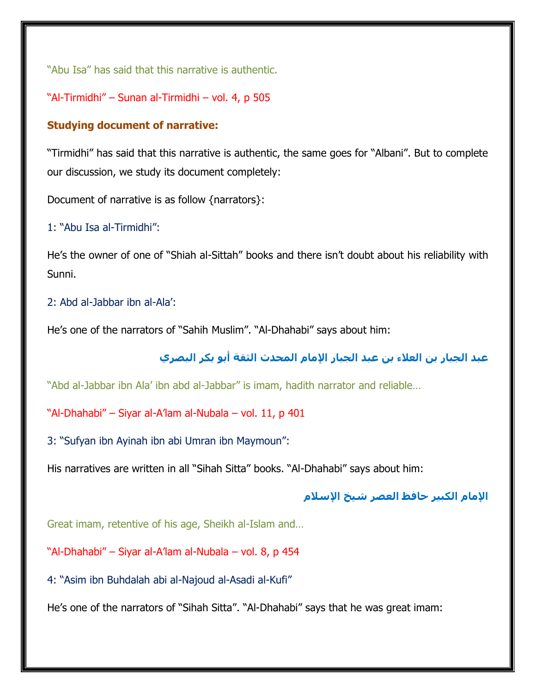"Abu Isa" has said that this narrative is authentic.

"Al-Tirmidhi" – Sunan al-Tirmidhi – vol. 4, p 505

## **Studying document of narrative:**

"Tirmidhi" has said that this narrative is authentic, the same goes for "Albani". But to complete our discussion, we study its document completely:

Document of narrative is as follow {narrators}:

## 1: "Abu Isa al-Tirmidhi":

He's the owner of one of "Shiah al-Sittah" books and there isn't doubt about his reliability with Sunni.

## 2: Abd al-Jabbar ibn al-Ala':

He's one of the narrators of "Sahih Muslim". "Al-Dhahabi" says about him:

# **عبد الجبار بن العالء بن عبد الجبار اإلمام المحدث الثقة أبو بكر البصري**

"Abd al-Jabbar ibn Ala' ibn abd al-Jabbar" is imam, hadith narrator and reliable…

"Al-Dhahabi" – Siyar al-A'lam al-Nubala – vol. 11, p 401

3: "Sufyan ibn Ayinah ibn abi Umran ibn Maymoun":

His narratives are written in all "Sihah Sitta" books. "Al-Dhahabi" says about him:

## **اإلمام الكبير حافظ العصر شيخ اإلسالم**

Great imam, retentive of his age, Sheikh al-Islam and…

"Al-Dhahabi" – Siyar al-A'lam al-Nubala – vol. 8, p 454

4: "Asim ibn Buhdalah abi al-Najoud al-Asadi al-Kufi"

He's one of the narrators of "Sihah Sitta". "Al-Dhahabi" says that he was great imam: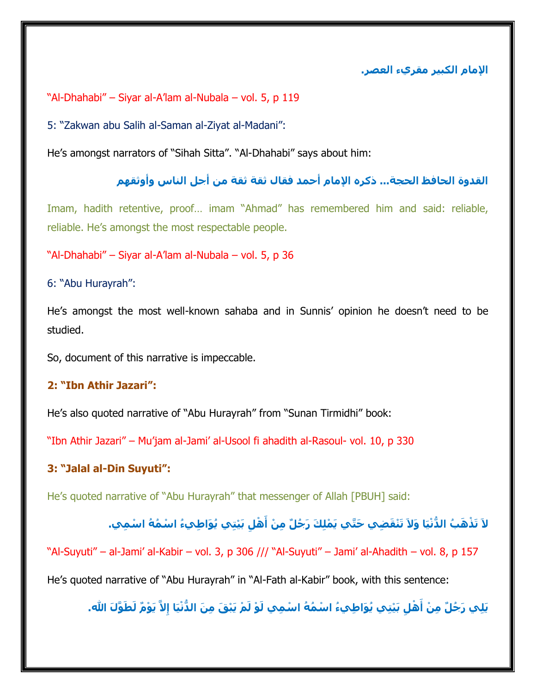**اإلمام الكبير مقريء العصر.**

"Al-Dhahabi" – Siyar al-A'lam al-Nubala – vol. 5, p 119

5: "Zakwan abu Salih al-Saman al-Ziyat al-Madani":

He's amongst narrators of "Sihah Sitta". "Al-Dhahabi" says about him:

## **القدوة الحافظ الحجة... ذكره اإلمام أحمد فقال ثقة ثقة من أجل الناس وأوثقهم**

Imam, hadith retentive, proof… imam "Ahmad" has remembered him and said: reliable, reliable. He's amongst the most respectable people.

"Al-Dhahabi" – Siyar al-A'lam al-Nubala – vol. 5, p 36

6: "Abu Hurayrah":

He's amongst the most well-known sahaba and in Sunnis' opinion he doesn't need to be studied.

So, document of this narrative is impeccable.

#### **2: "Ibn Athir Jazari":**

He's also quoted narrative of "Abu Hurayrah" from "Sunan Tirmidhi" book:

"Ibn Athir Jazari" – Mu'jam al-Jami' al-Usool fi ahadith al-Rasoul- vol. 10, p 330

#### **3: "Jalal al-Din Suyuti":**

He's quoted narrative of "Abu Hurayrah" that messenger of Allah [PBUH] said:

# لاَ تَذْهَبُ الدُّنْيَا وَلاَ تَنْقَضِي حَتَّي يَمْلِكَ رَجُلٌ مِنْ أَهْلِ بَيْتِي يُوَاطِيءُ اسْمُهُ اسْمِي.

"Al-Suyuti" – al-Jami' al-Kabir – vol. 3, p 306 /// "Al-Suyuti" – Jami' al-Ahadith – vol. 8, p 157

He's quoted narrative of "Abu Hurayrah" in "Al-Fath al-Kabir" book, with this sentence:

يَلِي رَجُلٌ مِنْ أَهْلٍ بَيْتِي يُوَاطِيءُ اسْمُهُ اسْمِي لَوْ لَمْ يَبْقَ مِنَ الدُّنْيَا إِلاَّ يَوْمٌ لَطَوَّلَ الله.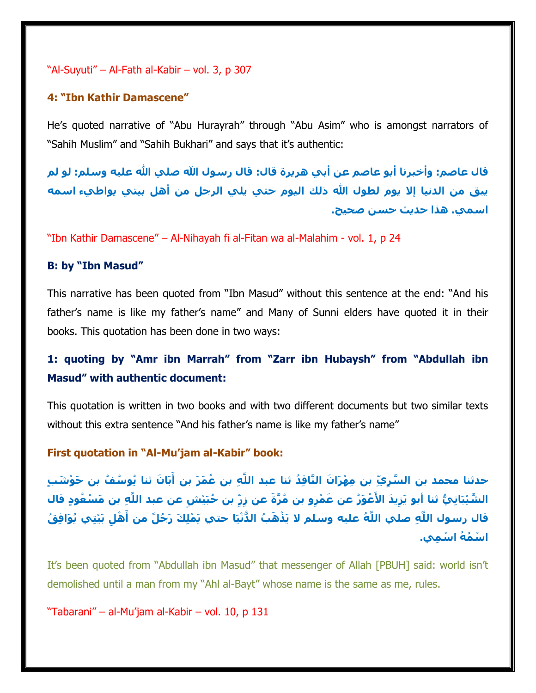#### "Al-Suyuti" – Al-Fath al-Kabir – vol. 3, p 307

#### **4: "Ibn Kathir Damascene"**

He's quoted narrative of "Abu Hurayrah" through "Abu Asim" who is amongst narrators of "Sahih Muslim" and "Sahih Bukhari" and says that it's authentic:

**قال عاصم: وأخبرنا أبو عاصم عن أبي هريرة قال: قال رسول هللا صلي هللا عليه وسلم: لو لم يبق من الدنيا إال يوم لطول هللا ذلك اليوم حتي يلي الرجل من أهل بيتي يواطيء اسمه اسمي. هذا حديث حسن صحيح.**

"Ibn Kathir Damascene" – Al-Nihayah fi al-Fitan wa al-Malahim - vol. 1, p 24

#### **B: by "Ibn Masud"**

This narrative has been quoted from "Ibn Masud" without this sentence at the end: "And his father's name is like my father's name" and Many of Sunni elders have quoted it in their books. This quotation has been done in two ways:

## **1: quoting by "Amr ibn Marrah" from "Zarr ibn Hubaysh" from "Abdullah ibn Masud" with authentic document:**

This quotation is written in two books and with two different documents but two similar texts without this extra sentence "And his father's name is like my father's name"

**First quotation in "Al-Mu'jam al-Kabir" book:**

حدثنا محمد بن السَّرِيّ بن مِهْرَانَ النَّاقِدُ ثنا عبد اللَّهِ بن عُمَرَ بن أَبَانَ ثنا يُوسُفُ بن حَوْشَبٍ الشَّيْبَانِيُّ ثنا أبو يَزِيدَ الأَعْوَرُ عن عَمْرٍو بن مُرَّةَ عن زِرٍّ بن حُبَيْشٍ عن عبد اللَّهِ بن مَسْعُودٍ قال قال رسول اللَّهِ صلحِ اللَّهُ عليه وسلم لا يَذْهَبُ الدُّنْيَا حتي يَمْلِكَ رَجُلٌ من أَهْلِ بَيْتِي يُوَافِقُ **ا ْس ُم ُه ا ْس ِمي.**

It's been quoted from "Abdullah ibn Masud" that messenger of Allah [PBUH] said: world isn't demolished until a man from my "Ahl al-Bayt" whose name is the same as me, rules.

"Tabarani" – al-Mu'jam al-Kabir – vol. 10, p 131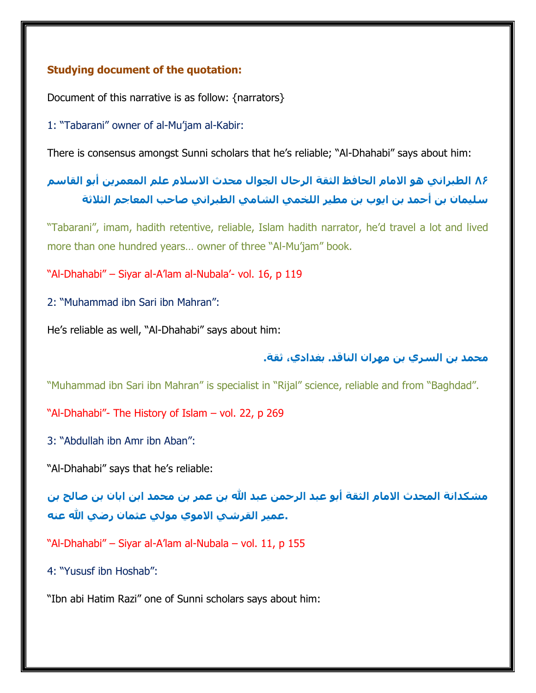## **Studying document of the quotation:**

Document of this narrative is as follow: {narrators}

1: "Tabarani" owner of al-Mu'jam al-Kabir:

There is consensus amongst Sunni scholars that he's reliable; "Al-Dhahabi" says about him:

# **86 الطبراني هو االمام الحافظ الثقة الرحال الجوال محدث االسالم علم المعمرين أبو القاسم سليمان بن أحمد بن ايوب بن مطير اللخمي الشامي الطبراني صاحب المعاجم الثالثة**

"Tabarani", imam, hadith retentive, reliable, Islam hadith narrator, he'd travel a lot and lived more than one hundred years… owner of three "Al-Mu'jam" book.

"Al-Dhahabi" – Siyar al-A'lam al-Nubala'- vol. 16, p 119

2: "Muhammad ibn Sari ibn Mahran":

He's reliable as well, "Al-Dhahabi" says about him:

## **محمد بن السري بن مهران الناقد. بغدادي، ثقة.**

"Muhammad ibn Sari ibn Mahran" is specialist in "Rijal" science, reliable and from "Baghdad".

"Al-Dhahabi"- The History of Islam – vol. 22, p 269

3: "Abdullah ibn Amr ibn Aban":

"Al-Dhahabi" says that he's reliable:

**مشكدانة المحدث االمام الثقة أبو عبد الرحمن عبد هللا بن عمر بن محمد ابن ابان بن صالح بن .عمير القرشي االموي مولي عثمان رضي هللا عنه**

"Al-Dhahabi" – Siyar al-A'lam al-Nubala – vol. 11, p 155

4: "Yususf ibn Hoshab":

"Ibn abi Hatim Razi" one of Sunni scholars says about him: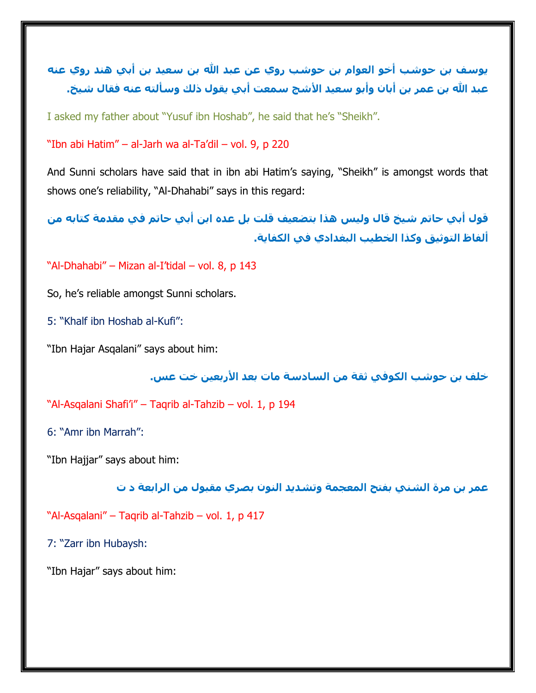**يوسف بن حوشب أخو العوام بن حوشب روي عن عبد هللا بن سعيد بن أبي هند روي عنه عبد هللا بن عمر بن أبان وأبو سعيد األشج سمعت أبي يقول ذلك وسألته عنه فقال شيخ.**

I asked my father about "Yusuf ibn Hoshab", he said that he's "Sheikh".

"Ibn abi Hatim" – al-Jarh wa al-Ta'dil – vol. 9, p 220

And Sunni scholars have said that in ibn abi Hatim's saying, "Sheikh" is amongst words that shows one's reliability, "Al-Dhahabi" says in this regard:

**قول أبي حاتم شيخ قال وليس هذا بتضعيف قلت بل عده ابن أبي حاتم في مقدمة كتابه من ألفاظ التوثيق وكذا الخطيب البغدادي في الكفاية.**

"Al-Dhahabi" – Mizan al-I'tidal – vol. 8, p 143

So, he's reliable amongst Sunni scholars.

5: "Khalf ibn Hoshab al-Kufi":

"Ibn Hajar Asqalani" says about him:

**خلف بن حوشب الكوفي ثقة من السادسة مات بعد األربعين خت عس.**

"Al-Asqalani Shafi'i" – Taqrib al-Tahzib – vol. 1, p 194

6: "Amr ibn Marrah":

"Ibn Hajjar" says about him:

**عمر بن مرة الشني بفتح المعجمة وتشديد النون بصري مقبول من الرابعة د ت**

"Al-Asqalani" – Taqrib al-Tahzib – vol. 1, p 417

7: "Zarr ibn Hubaysh:

"Ibn Hajar" says about him: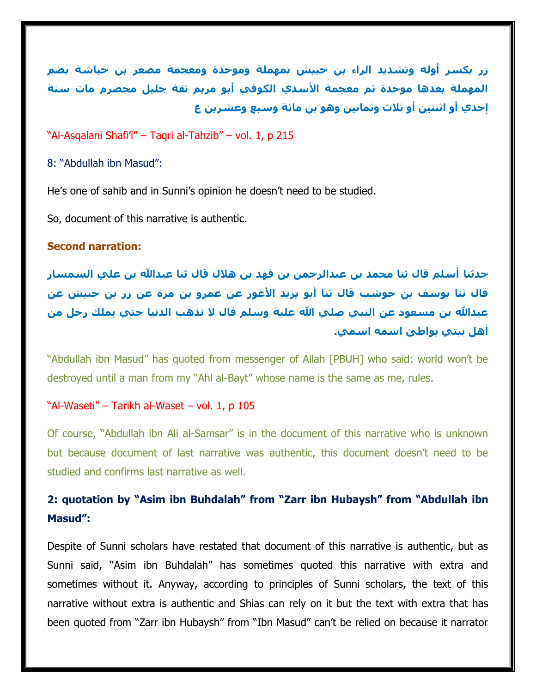**زر بكسر أوله وتشديد الراء بن حبيش بمهملة وموحدة ومعجمة مصغر بن حباشة بضم المهملة بعدها موحدة ثم معجمة األسدي الكوفي أبو مريم ثقة جليل مخضرم مات سنة إحدي أو اثنتين أو ثالث وثمانين وهو بن مائة وسبع وعشرين ع**

#### "Al-Asqalani Shafi'i" – Taqri al-Tahzib" – vol. 1, p 215

8: "Abdullah ibn Masud":

He's one of sahib and in Sunni's opinion he doesn't need to be studied.

So, document of this narrative is authentic.

#### **Second narration:**

**حدثنا أسلم قال ثنا محمد بن عبدالرحمن بن فهد بن هالل قال ثنا عبدهللا بن علي السمسار قال ثنا يوسف بن حوشب قال ثنا أبو يزيد األعور عن عمرو بن مرة عن زر بن حبيش عن عبدهللا بن مسعود عن النبي صلي هللا عليه وسلم قال ال تذهب الدنيا حتي يملك رجل من أهل بيتي يواطئ اسمه اسمي.**

"Abdullah ibn Masud" has quoted from messenger of Allah [PBUH] who said: world won't be destroyed until a man from my "Ahl al-Bayt" whose name is the same as me, rules.

#### "Al-Waseti" – Tarikh al-Waset – vol. 1, p 105

Of course, "Abdullah ibn Ali al-Samsar" is in the document of this narrative who is unknown but because document of last narrative was authentic, this document doesn't need to be studied and confirms last narrative as well.

# **2: quotation by "Asim ibn Buhdalah" from "Zarr ibn Hubaysh" from "Abdullah ibn Masud":**

Despite of Sunni scholars have restated that document of this narrative is authentic, but as Sunni said, "Asim ibn Buhdalah" has sometimes quoted this narrative with extra and sometimes without it. Anyway, according to principles of Sunni scholars, the text of this narrative without extra is authentic and Shias can rely on it but the text with extra that has been quoted from "Zarr ibn Hubaysh" from "Ibn Masud" can't be relied on because it narrator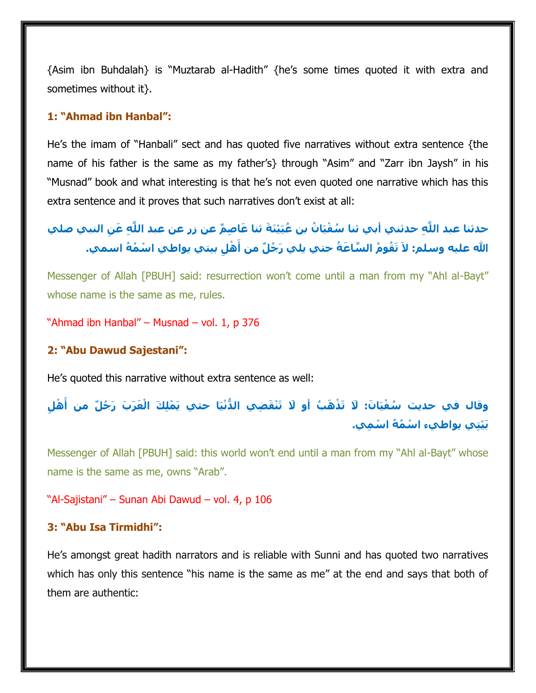{Asim ibn Buhdalah} is "Muztarab al-Hadith" {he's some times quoted it with extra and sometimes without it}.

#### **1: "Ahmad ibn Hanbal":**

He's the imam of "Hanbali" sect and has quoted five narratives without extra sentence {the name of his father is the same as my father's} through "Asim" and "Zarr ibn Jaysh" in his "Musnad" book and what interesting is that he's not even quoted one narrative which has this extra sentence and it proves that such narratives don't exist at all:

حدثنا عبد اللَّهِ حدثني أبي ثنا سُفْيَانُ بن عُيَيْنَةَ ثنا عَاصِمٌ عن زر عن عبد اللَّهِ عَنِ النبي صلي الله عليه وسلم: لاَ تَقُومُ السَّاعَةُ حتي يلي رَجُلٌ من أَهْلِ بيتي يواطي اسْمُهُ اسمي.

Messenger of Allah [PBUH] said: resurrection won't come until a man from my "Ahl al-Bayt" whose name is the same as me, rules.

"Ahmad ibn Hanbal" – Musnad – vol. 1, p 376

#### **2: "Abu Dawud Sajestani":**

He's quoted this narrative without extra sentence as well:

وقال في حديث سُفْيَانَ: لَا تَذْهَبُ أَو لَا تَنْقَضِي الدُّنْيَا حتي يَمْلِكَ الْعَرَبَ رَجُلٌ من أَهْلِ **بَ ْيتِي يواطيء ا ْس ُم ُه ا ْس ِمي.**

Messenger of Allah [PBUH] said: this world won't end until a man from my "Ahl al-Bayt" whose name is the same as me, owns "Arab".

"Al-Sajistani" – Sunan Abi Dawud – vol. 4, p 106

## **3: "Abu Isa Tirmidhi":**

He's amongst great hadith narrators and is reliable with Sunni and has quoted two narratives which has only this sentence "his name is the same as me" at the end and says that both of them are authentic: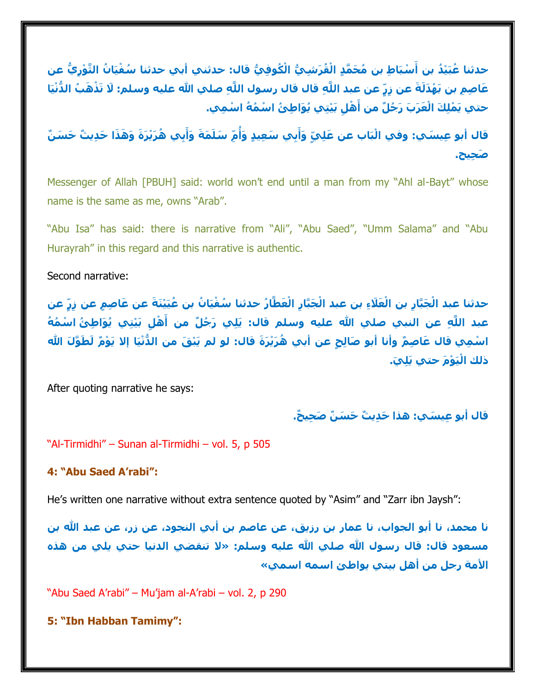حدثنا عُبَيْدُ بن أَسْبَاطِ بن مُحَمَّدٍ الْقُرَشِيُّ الْكُوفِيُّ قال: حدثني أبي حدثنا سُفْيَانُ الثَّوْرِيُّ عن عَاصِمِ بن بَهْدَلَةَ عن زِرٍّ عن عبد اللَّهِ قال قال رسول اللَّهِ صلحِ الله عليه وسلم: لَا تَذْهَبُ الدُّنْيَا حتي يَمْلِكَ الْعَرَبَ رَجُلٌ من أَهْلِ بَيْتِي يُوَاطِئُ اسْمُهُ اسْمِي.

قال أبو عِيسَي: وفي الْبَاب عن عَلِيِّ وَأَبِي سَعِيدٍ وَأُمِّ سَلَمَةَ وَأَبِي هُرَيْرَةَ وَهَذَا حَدِيثٌ حَسَنٌ **َص ِحيح.**

Messenger of Allah [PBUH] said: world won't end until a man from my "Ahl al-Bayt" whose name is the same as me, owns "Arab".

"Abu Isa" has said: there is narrative from "Ali", "Abu Saed", "Umm Salama" and "Abu Hurayrah" in this regard and this narrative is authentic.

Second narrative:

حدثنا عبد الْجَبَّارِ بن الْعَلَاءِ بن عبد الْجَبَّارِ الْعَطَّارُ حدثنا سُفْيَانُ بن عُيَيْنَةً عن عَاصِمٍ عن زِرٍّ عن عبد اللَّهِ عن النبي صلي الله عليه وسلم قال: يَلِي رَجُلٌ من أَهْلِ بَيْتِي يُوَاطِئُ اسْمُهُ اسْمِي قال عَاصِمٌ وأنا أبو صَالِحٍ عن أبي هُرَيْرَةَ قال: لو لم يَبْقَ من الدُّنْيَا إلا يَوْمٌ لَطَوَّلَ الله **َي. ذلك اْليَ ْو َم حتي يَلِ**

After quoting narrative he says:

**قال أبو ِعي َسي: هذا َح ِدي ٌث َح َس ٌن َص ِحي ٌح.**

"Al-Tirmidhi" – Sunan al-Tirmidhi – vol. 5, p 505

#### **4: "Abu Saed A'rabi":**

He's written one narrative without extra sentence quoted by "Asim" and "Zarr ibn Jaysh":

**نا محمد، نا أبو الجواب، نا عمار بن رزيق، عن عاصم بن أبي النجود، عن زر، عن عبد هللا بن**  مسعود قال: قال رسول الله صلي الله عليه وسلم: «لا تنقضي الدنيا حتي يلي من هذه **األمة رجل من أهل بيتي يواطئ اسمه اسمي«**

"Abu Saed A'rabi" – Mu'jam al-A'rabi – vol. 2, p 290

**5: "Ibn Habban Tamimy":**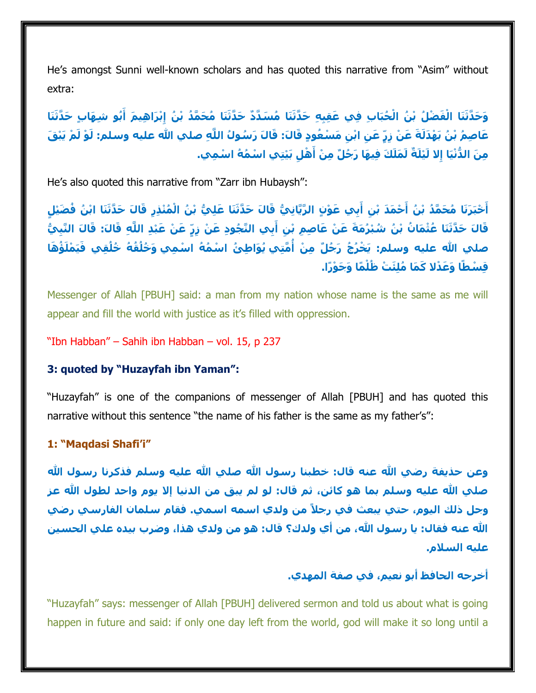He's amongst Sunni well-known scholars and has quoted this narrative from "Asim" without extra:

وَحَدَّثَنَا الْفَضْلُ بْنُ الْحُبَابِ فِي عَقِبِهِ حَدَّثَنَا مُسَدَّدٌ حَدَّثَنَا مُحَمَّدُ بْنُ إِبْرَاهِيمَ أَبُو شِهَابٍ حَدَّثَنَا عَاصِمُ بْنُ بَهْدَلَةَ عَنْ زِرٍّ عَنِ ابْنِ مَسْعُودٍ قَالَ: قَالَ رَسُولُ اللَّهِ صلحِ الله عليه وسلم: لَوْ لَمْ يَبْقَ مِنَ الدُّنْيَا إِلا لَيْلَةٌ لَمَلَكَ فِيهَا رَجُلٌ مِنْ أَهْلِ بَيْتِي اسْمُهُ اسْمِي.

He's also quoted this narrative from "Zarr ibn Hubaysh":

أَخْبَرَنَا مُحَمَّدُ بْنُ أَحْمَدَ بْنِ أَبِي عَوْنٍ الرَّيَّانِيُّ قَالَ حَدَّثَنَا عَلِيُّ بْنُ الْمُنْذِرِ قَالَ حَدَّثَنَا ابْنُ فُضَيْلٍ قَالَ حَدَّثَنَا عُثْمَانُ بْنُ شُبْرُمَةَ عَنْ عَاصِمِ بْنِ أَبِي النَّجُودِ عَنْ زِرٍّ عَنْ عَبْدِ اللَّهِ قَالَ: قَالَ النَّبِيُّ صلحِ الله عليه وسلم: يَخْرُجُ رَجُلٌ مِنْ أُمَّتِي يُوَاطِئُ اسْمُهُ اسْمِي وَخُلُقُهُ خُلُقِي فَيَمْلَؤُهَا **قِ ْسطًا َو َع ْدال َك َما ُملَِئ ْت ظُ ْل ًما َو َج ْو ًرا.**

Messenger of Allah [PBUH] said: a man from my nation whose name is the same as me will appear and fill the world with justice as it's filled with oppression.

"Ibn Habban" – Sahih ibn Habban – vol. 15, p 237

#### **3: quoted by "Huzayfah ibn Yaman":**

"Huzayfah" is one of the companions of messenger of Allah [PBUH] and has quoted this narrative without this sentence "the name of his father is the same as my father's":

#### **1: "Maqdasi Shafi'i"**

وعن حذيفة رضي الله عنه قال: خطبنا رسول الله صلي الله عليه وسلم فذكرنا رسول الله **صلي هللا عليه وسلم بما هو كائن، ثم قال: لو لم يبق من الدنيا إال يوم واحد لطول هللا عز وجل ذلك اليوم، حتي يبعث في رجالً من ولدي اسمه اسمي. فقام سلمان الفارسي رضي هللا عنه فقال: يا رسول هللا، من أي ولدك؟ قال: هو من ولدي هذا، وضرب بيده علي الحسين عليه السالم.**

## **أخرجه الحافظ أبو نعيم، في صفة المهدي.**

"Huzayfah" says: messenger of Allah [PBUH] delivered sermon and told us about what is going happen in future and said: if only one day left from the world, god will make it so long until a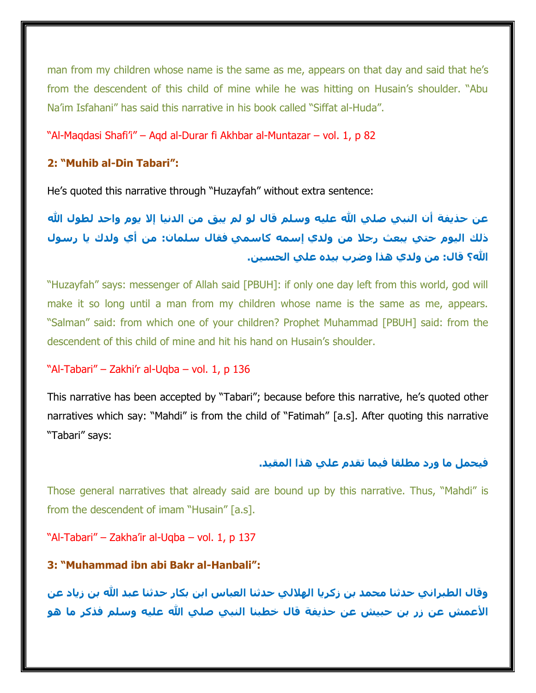man from my children whose name is the same as me, appears on that day and said that he's from the descendent of this child of mine while he was hitting on Husain's shoulder. "Abu Na'im Isfahani" has said this narrative in his book called "Siffat al-Huda".

#### "Al-Maqdasi Shafi'i" – Aqd al-Durar fi Akhbar al-Muntazar – vol. 1, p 82

#### **2: "Muhib al-Din Tabari":**

He's quoted this narrative through "Huzayfah" without extra sentence:

عن حذيفة أن النبي صلى الله عليه وسلم قال لو لم يبق من الدنيا إلا يوم واحد لطول الله **ذلك اليوم حتي يبعث رجال من ولدي إسمه كاسمي فقال سلمان: من أي ولدك يا رسول هللا؟ قال: من ولدي هذا وضرب بيده علي الحسين.**

"Huzayfah" says: messenger of Allah said [PBUH]: if only one day left from this world, god will make it so long until a man from my children whose name is the same as me, appears. "Salman" said: from which one of your children? Prophet Muhammad [PBUH] said: from the descendent of this child of mine and hit his hand on Husain's shoulder.

#### "Al-Tabari" – Zakhi'r al-Uqba – vol. 1, p 136

This narrative has been accepted by "Tabari"; because before this narrative, he's quoted other narratives which say: "Mahdi" is from the child of "Fatimah" [a.s]. After quoting this narrative "Tabari" says:

#### **فيحمل ما ورد مطلقا فيما تقدم علي هذا المقيد.**

Those general narratives that already said are bound up by this narrative. Thus, "Mahdi" is from the descendent of imam "Husain" [a.s].

"Al-Tabari" – Zakha'ir al-Uqba – vol. 1, p 137

#### **3: "Muhammad ibn abi Bakr al-Hanbali":**

وقال الطبراني حدثنا محمد بن زكريا الهلالي حدثنا العباس ابن بكار حدثنا عبد الله بن زياد عن **األعمش عن زر بن حبيش عن حذيفة قال خطبنا النبي صلي هللا عليه وسلم فذكر ما هو**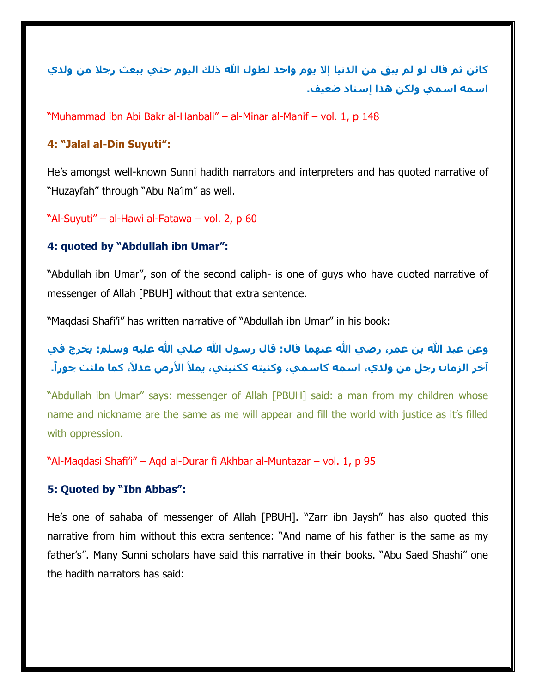**كائن ثم قال لو لم يبق من الدنيا إال يوم واحد لطول هللا ذلك اليوم حتي يبعث رجال من ولدي اسمه اسمي ولكن هذا إسناد ضعيف.**

"Muhammad ibn Abi Bakr al-Hanbali" – al-Minar al-Manif – vol. 1, p 148

#### **4: "Jalal al-Din Suyuti":**

He's amongst well-known Sunni hadith narrators and interpreters and has quoted narrative of "Huzayfah" through "Abu Na'im" as well.

"Al-Suyuti" – al-Hawi al-Fatawa – vol. 2, p 60

#### **4: quoted by "Abdullah ibn Umar":**

"Abdullah ibn Umar", son of the second caliph- is one of guys who have quoted narrative of messenger of Allah [PBUH] without that extra sentence.

"Maqdasi Shafi'i" has written narrative of "Abdullah ibn Umar" in his book:

# وعن عبد الله بن عمر، رضي الله عنهما قال: قال رسول الله صلى الله عليه وسلم: يخرج في **آخر الزمان رجل من ولدي، اسمه كاسمي، وكنيته ككنيتي، يمأل األرض عدال،ً كما ملئت جورا.ً**

"Abdullah ibn Umar" says: messenger of Allah [PBUH] said: a man from my children whose name and nickname are the same as me will appear and fill the world with justice as it's filled with oppression.

"Al-Maqdasi Shafi'i" – Aqd al-Durar fi Akhbar al-Muntazar – vol. 1, p 95

#### **5: Quoted by "Ibn Abbas":**

He's one of sahaba of messenger of Allah [PBUH]. "Zarr ibn Jaysh" has also quoted this narrative from him without this extra sentence: "And name of his father is the same as my father's". Many Sunni scholars have said this narrative in their books. "Abu Saed Shashi" one the hadith narrators has said: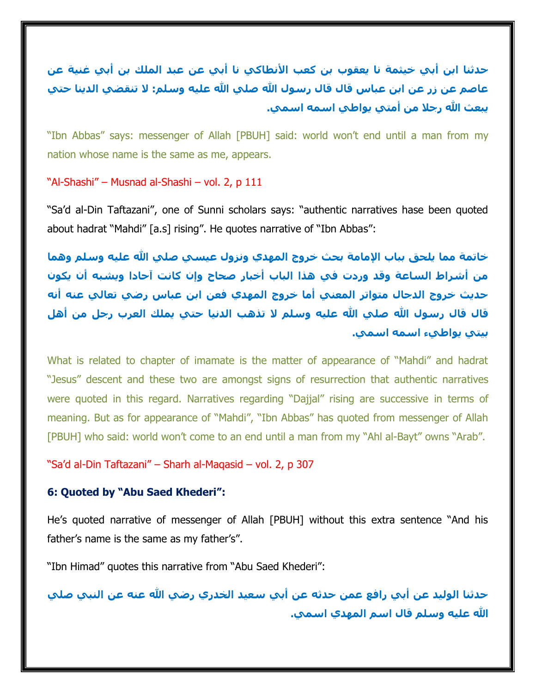**حدثنا ابن أبي خيثمة نا يعقوب بن كعب األنطاكي نا أبي عن عبد الملك بن أبي غنية عن عاصم عن زر عن ابن عباس قال قال رسول هللا صلي هللا عليه وسلم: ال تنقضي الدينا حتي يبعث هللا رجال من أمتي يواطي اسمه اسمي.**

"Ibn Abbas" says: messenger of Allah [PBUH] said: world won't end until a man from my nation whose name is the same as me, appears.

"Al-Shashi" – Musnad al-Shashi – vol. 2, p 111

"Sa'd al-Din Taftazani", one of Sunni scholars says: "authentic narratives hase been quoted about hadrat "Mahdi" [a.s] rising". He quotes narrative of "Ibn Abbas":

**خاتمة مما يلحق بباب اإلمامة بحث خروج المهدي ونزول عيسي صلي هللا عليه وسلم وهما من أشراط الساعة وقد وردت في هذا الباب أخبار صحاح وإن كانت آحادا ويشبه أن يكون حديث خروج الدجال متواتر المعني أما خروج المهدي فعن ابن عباس رضي تعالي عنه أنه قال قال رسول هللا صلي هللا عليه وسلم ال تذهب الدنيا حتي يملك العرب رجل من أهل بيتي يواطيء اسمه اسمي.**

What is related to chapter of imamate is the matter of appearance of "Mahdi" and hadrat "Jesus" descent and these two are amongst signs of resurrection that authentic narratives were quoted in this regard. Narratives regarding "Dajjal" rising are successive in terms of meaning. But as for appearance of "Mahdi", "Ibn Abbas" has quoted from messenger of Allah [PBUH] who said: world won't come to an end until a man from my "Ahl al-Bayt" owns "Arab".

"Sa'd al-Din Taftazani" – Sharh al-Maqasid – vol. 2, p 307

## **6: Quoted by "Abu Saed Khederi":**

He's quoted narrative of messenger of Allah [PBUH] without this extra sentence "And his father's name is the same as my father's".

"Ibn Himad" quotes this narrative from "Abu Saed Khederi":

**حدثنا الوليد عن أبي رافع عمن حدثه عن أبي سعيد الخدري رضي هللا عنه عن النبي صلي هللا عليه وسلم قال اسم المهدي اسمي.**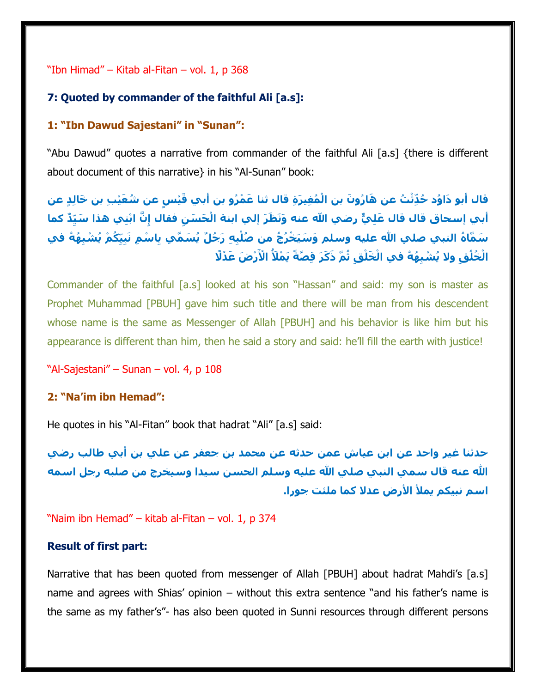"Ibn Himad" – Kitab al-Fitan – vol. 1, p 368

#### **7: Quoted by commander of the faithful Ali [a.s]:**

#### **1: "Ibn Dawud Sajestani" in "Sunan":**

"Abu Dawud" quotes a narrative from commander of the faithful Ali [a.s] {there is different about document of this narrative} in his "Al-Sunan" book:

قال أبو دَاوُد حُدَّثْتُ عن هَارُونَ بن الْمُغيرَة قال ثنا عَمْرُو بن أبي قَيْس عن شُعَيْب بن خَالد عن أبي إسحاق قال قال عَلِيٌّ رضي الله عنه وَنَظَرَ إلي ابنة الْخَسَنِ فقال إِنَّ ابْنِي هذا سَيِّدٌ كما سَمَّاهُ النبي صلى الله عليه وسلم وَسَيَخْرُجُ من صُلْبِهِ رَجُلٌ يُسَمَّي بِاسْمِ نَبِيِّكُمْ يُشْبِهُهُ في الْخُلُقِ ولا يُشْبِهُهُ في الْخَلْقِ ثُمَّ ذَكَرَ قِصَّةً يَمْلَأُ الْأَرْضَ عَدْلًا

Commander of the faithful [a.s] looked at his son "Hassan" and said: my son is master as Prophet Muhammad [PBUH] gave him such title and there will be man from his descendent whose name is the same as Messenger of Allah [PBUH] and his behavior is like him but his appearance is different than him, then he said a story and said: he'll fill the earth with justice!

"Al-Sajestani" – Sunan – vol. 4, p 108

#### **2: "Na'im ibn Hemad":**

He quotes in his "Al-Fitan" book that hadrat "Ali" [a.s] said:

**حدثنا غير واحد عن ابن عياش عمن حدثه عن محمد بن جعفر عن علي بن أبي طالب رضي هللا عنه قال سمي النبي صلي هللا عليه وسلم الحسن سيدا وسيخرج من صلبه رجل اسمه اسم نبيكم يمأل األرض عدال كما ملئت جورا.**

"Naim ibn Hemad" – kitab al-Fitan – vol. 1, p 374

#### **Result of first part:**

Narrative that has been quoted from messenger of Allah [PBUH] about hadrat Mahdi's [a.s] name and agrees with Shias' opinion – without this extra sentence "and his father's name is the same as my father's"- has also been quoted in Sunni resources through different persons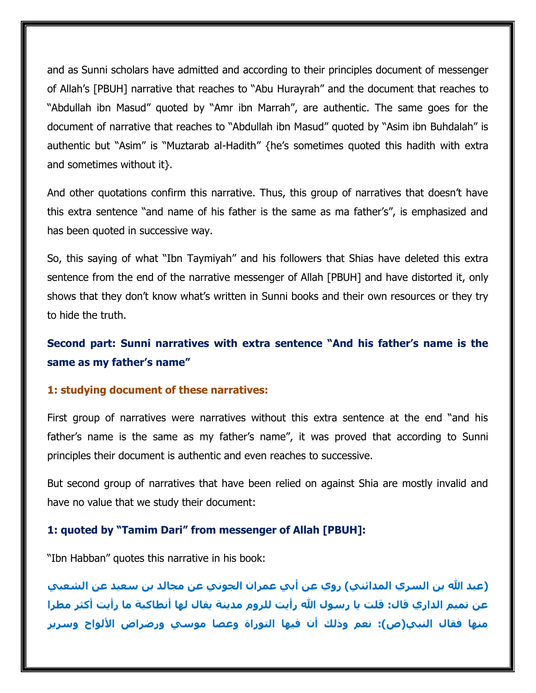and as Sunni scholars have admitted and according to their principles document of messenger of Allah's [PBUH] narrative that reaches to "Abu Hurayrah" and the document that reaches to "Abdullah ibn Masud" quoted by "Amr ibn Marrah", are authentic. The same goes for the document of narrative that reaches to "Abdullah ibn Masud" quoted by "Asim ibn Buhdalah" is authentic but "Asim" is "Muztarab al-Hadith" {he's sometimes quoted this hadith with extra and sometimes without it}.

And other quotations confirm this narrative. Thus, this group of narratives that doesn't have this extra sentence "and name of his father is the same as ma father's", is emphasized and has been quoted in successive way.

So, this saying of what "Ibn Taymiyah" and his followers that Shias have deleted this extra sentence from the end of the narrative messenger of Allah [PBUH] and have distorted it, only shows that they don't know what's written in Sunni books and their own resources or they try to hide the truth.

# **Second part: Sunni narratives with extra sentence "And his father's name is the same as my father's name"**

#### **1: studying document of these narratives:**

First group of narratives were narratives without this extra sentence at the end "and his father's name is the same as my father's name", it was proved that according to Sunni principles their document is authentic and even reaches to successive.

But second group of narratives that have been relied on against Shia are mostly invalid and have no value that we study their document:

#### **1: quoted by "Tamim Dari" from messenger of Allah [PBUH]:**

"Ibn Habban" quotes this narrative in his book:

**)عبد هللا بن السري المدائني( روي عن أبي عمران الجوني عن مجالد بن سعيد عن الشعبي**  عن تميم الداري قال: قلت يا رسول الله رأيت للروم مدينة يقال لها أنطاكية ما رأيت أكثر مطرا **منها فقال النبي)ص(: نعم وذلك أن فيها التوراة وعصا موسي ورضراض األلواح وسرير**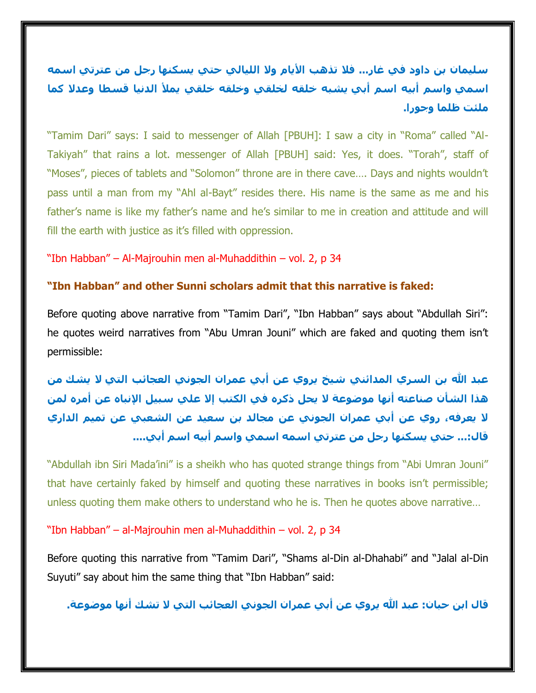**سليمان بن داود في غار... فال تذهب األيام وال الليالي حتي يسكنها رجل من عترتي اسمه اسمي واسم أبيه اسم أبي يشبه خلقه لخلقي وخلقه خلقي يمأل الدنيا قسطا وعدال كما ملئت ظلما وجورا.**

"Tamim Dari" says: I said to messenger of Allah [PBUH]: I saw a city in "Roma" called "Al-Takiyah" that rains a lot. messenger of Allah [PBUH] said: Yes, it does. "Torah", staff of "Moses", pieces of tablets and "Solomon" throne are in there cave…. Days and nights wouldn't pass until a man from my "Ahl al-Bayt" resides there. His name is the same as me and his father's name is like my father's name and he's similar to me in creation and attitude and will fill the earth with justice as it's filled with oppression.

"Ibn Habban" – Al-Majrouhin men al-Muhaddithin – vol. 2, p 34

#### **"Ibn Habban" and other Sunni scholars admit that this narrative is faked:**

Before quoting above narrative from "Tamim Dari", "Ibn Habban" says about "Abdullah Siri": he quotes weird narratives from "Abu Umran Jouni" which are faked and quoting them isn't permissible:

**عبد هللا بن السري المدائني شيخ يروي عن أبي عمران الجوني العجائب التي ال يشك من هذا الشأن صناعته أنها موضوعة ال يحل ذكره في الكتب إال علي سبيل اإلنباه عن أمره لمن ال يعرفه، روي عن أبي عمران الجوني عن مجالد بن سعيد عن الشعبي عن تميم الداري قال...: حتي يسكنها رجل من عترتي اسمه اسمي واسم أبيه اسم أبي....**

"Abdullah ibn Siri Mada'ini" is a sheikh who has quoted strange things from "Abi Umran Jouni" that have certainly faked by himself and quoting these narratives in books isn't permissible; unless quoting them make others to understand who he is. Then he quotes above narrative…

"Ibn Habban" – al-Majrouhin men al-Muhaddithin – vol. 2, p 34

Before quoting this narrative from "Tamim Dari", "Shams al-Din al-Dhahabi" and "Jalal al-Din Suyuti" say about him the same thing that "Ibn Habban" said:

**قال ابن حبان: عبد هللا يروي عن أبي عمران الجوني العجائب التي ال تشك أنها موضوعة.**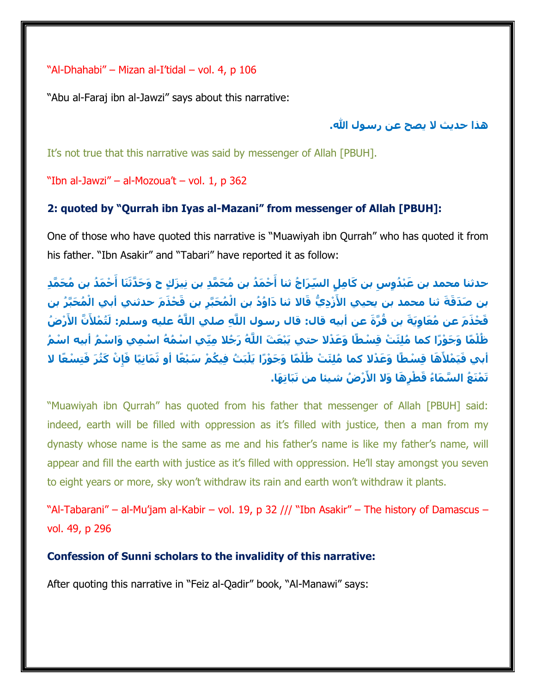"Al-Dhahabi" – Mizan al-I'tidal – vol. 4, p 106

"Abu al-Faraj ibn al-Jawzi" says about this narrative:

## **هذا حديث ال يصح عن رسول هللا.**

It's not true that this narrative was said by messenger of Allah [PBUH].

"Ibn al-Jawzi" – al-Mozoua't – vol. 1, p 362

## **2: quoted by "Qurrah ibn Iyas al-Mazani" from messenger of Allah [PBUH]:**

One of those who have quoted this narrative is "Muawiyah ibn Qurrah" who has quoted it from his father. "Ibn Asakir" and "Tabari" have reported it as follow:

حدثنا محمد بن عَبْدُوِسٍ بن كَامِلٍ السِّرَاجُ ثنا أَحْمَدُ بن مُحَمَّدِ بن نِيزَكٍ ح وَحَدَّثَنَا أَحْمَدُ بن مُحَمَّدِ بن صَدَقَةَ ثنا محمد بن يحيي الأَزْدِيُّ قَالا ثنا دَاوُدُ بن الْمُحَبَّرِ بن قَحْذَمَ حدثني أبي الْمُحَبَّرُ بن قَحْذَمَ عن مُعَاوِيَةَ بن قُرَّةَ عن أبيه قال: قال رسول اللَّهِ صلي اللَّهُ عليه وسلم: لَتُمْلأَنَّ الأَرْضُ ظُلْمًا وَجَوْرًا كما مُلِئَتْ قِسْطًا وَعَدْلا حتي يَبْعَثَ اللَّهُ رَجُلا مِنِّي اسْمُهُ اسْمِي وَاسْمُ أبيه اسْمُ أبي فَيَمْلأَهَا قِسْطًا وَعَدْلا كما مُلِئَتْ ظُلْمًا وَجَوْرًا يَلْبَتُ فِيكُمْ سَبْعًا أو ثَمَانِيًا فَإِنْ كَثُرَ فَتِسْعًا لا **ْر ُض شيئا من نَبَاتِ َها. تَ ْمَن ُع ال َّس َماُء َق ْط ِر َها َوال األَ**

"Muawiyah ibn Qurrah" has quoted from his father that messenger of Allah [PBUH] said: indeed, earth will be filled with oppression as it's filled with justice, then a man from my dynasty whose name is the same as me and his father's name is like my father's name, will appear and fill the earth with justice as it's filled with oppression. He'll stay amongst you seven to eight years or more, sky won't withdraw its rain and earth won't withdraw it plants.

"Al-Tabarani" – al-Mu'jam al-Kabir – vol. 19, p 32 /// "Ibn Asakir" – The history of Damascus – vol. 49, p 296

**Confession of Sunni scholars to the invalidity of this narrative:**

After quoting this narrative in "Feiz al-Qadir" book, "Al-Manawi" says: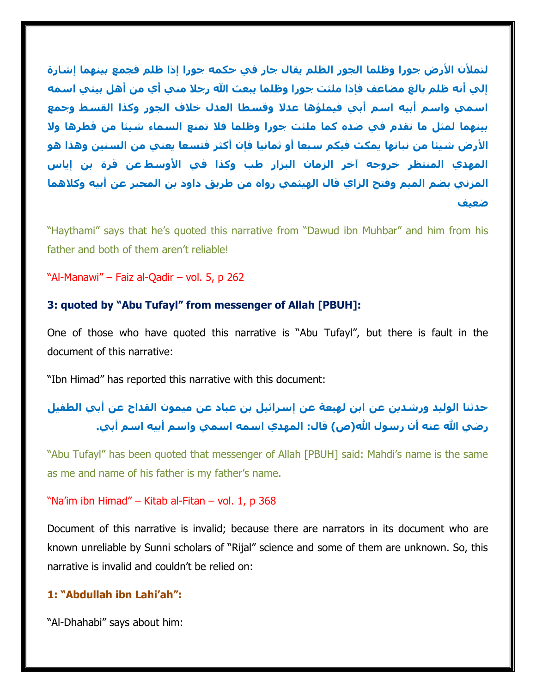**لتمألن األرض جورا وظلما الجور الظلم يقال جار في حكمه جورا إذا ظلم فجمع بينهما إشارة إلي أنه ظلم بالغ مضاعف فإذا ملئت جورا وظلما يبعث هللا رجال مني أي من أهل بيتي اسمه اسمي واسم أبيه اسم أبي فيملؤها عدال وقسطا العدل خالف الجور وكذا القسط وجمع بينهما لمثل ما تقدم في ضده كما ملئت جورا وظلما فال تمنع السماء شيئا من قطرها وال األرض شيئا من نباتها يمكث فيكم سبعا أو ثمانيا فإن أكثر فتسعا يعني من السنين وهذا هو المهدي المنتظر خروجه آخر الزمان البزار طب وكذا في األوسط عن قرة بن إياس المزني بضم الميم وفتح الزاي قال الهيثمي رواه من طريق داود بن المحبر عن أبيه وكالهما ضعيف**

"Haythami" says that he's quoted this narrative from "Dawud ibn Muhbar" and him from his father and both of them aren't reliable!

"Al-Manawi" – Faiz al-Qadir – vol. 5, p 262

#### **3: quoted by "Abu Tufayl" from messenger of Allah [PBUH]:**

One of those who have quoted this narrative is "Abu Tufayl", but there is fault in the document of this narrative:

"Ibn Himad" has reported this narrative with this document:

# **حدثنا الوليد ورشدين عن ابن لهيعة عن إسرائيل بن عباد عن ميمون القداح عن أبي الطفيل رضي هللا عنه أن رسول هللا)ص( قال: المهدي اسمه اسمي واسم أبيه اسم أبي.**

"Abu Tufayl" has been quoted that messenger of Allah [PBUH] said: Mahdi's name is the same as me and name of his father is my father's name.

#### "Na'im ibn Himad" – Kitab al-Fitan – vol. 1, p 368

Document of this narrative is invalid; because there are narrators in its document who are known unreliable by Sunni scholars of "Rijal" science and some of them are unknown. So, this narrative is invalid and couldn't be relied on:

## **1: "Abdullah ibn Lahi'ah":**

"Al-Dhahabi" says about him: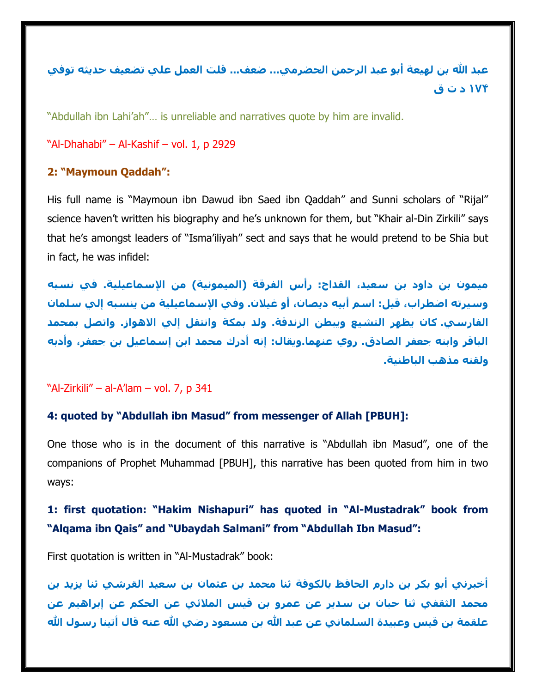**عبد هللا بن لهيعة أبو عبد الرحمن الحضرمي... ضعف... قلت العمل علي تضعيف حديثه توفي 174 د ت ق**

"Abdullah ibn Lahi'ah"… is unreliable and narratives quote by him are invalid.

"Al-Dhahabi" – Al-Kashif – vol. 1, p 2929

## **2: "Maymoun Qaddah":**

His full name is "Maymoun ibn Dawud ibn Saed ibn Qaddah" and Sunni scholars of "Rijal" science haven't written his biography and he's unknown for them, but "Khair al-Din Zirkili" says that he's amongst leaders of "Isma'iliyah" sect and says that he would pretend to be Shia but in fact, he was infidel:

**ميمون بن داود بن سعيد، القداح: رأس الفرقة )الميمونية( من اإلسماعيلية. في نسبه وسيرته اضطراب، قيل: اسم أبيه ديصان، أو غيالن. وفي اإلسماعيلية من ينسبه إلي سلمان الفارسي. كان يظهر التشيع ويبطن الزندقة. ولد بمكة وانتقل إلي االهواز. واتصل بمحمد الباقر وابنه جعفر الصادق. روي عنهما.ويقال: إنه أدرك محمد ابن إسماعيل بن جعفر، وأدبه ولقنه مذهب الباطنية.**

"Al-Zirkili" – al-A'lam – vol. 7, p 341

## **4: quoted by "Abdullah ibn Masud" from messenger of Allah [PBUH]:**

One those who is in the document of this narrative is "Abdullah ibn Masud", one of the companions of Prophet Muhammad [PBUH], this narrative has been quoted from him in two ways:

# **1: first quotation: "Hakim Nishapuri" has quoted in "Al-Mustadrak" book from "Alqama ibn Qais" and "Ubaydah Salmani" from "Abdullah Ibn Masud":**

First quotation is written in "Al-Mustadrak" book:

**أخبرني أبو بكر بن دارم الحافظ بالكوفة ثنا محمد بن عثمان بن سعيد القرشي ثنا يزيد بن محمد الثقفي ثنا حبان بن سدير عن عمرو بن قيس المالئي عن الحكم عن إبراهيم عن**  علقمة بن قيس وعبيدة السلماني عن عبد الله بن مسعود رضي الله عنه قال أتينا رسول الله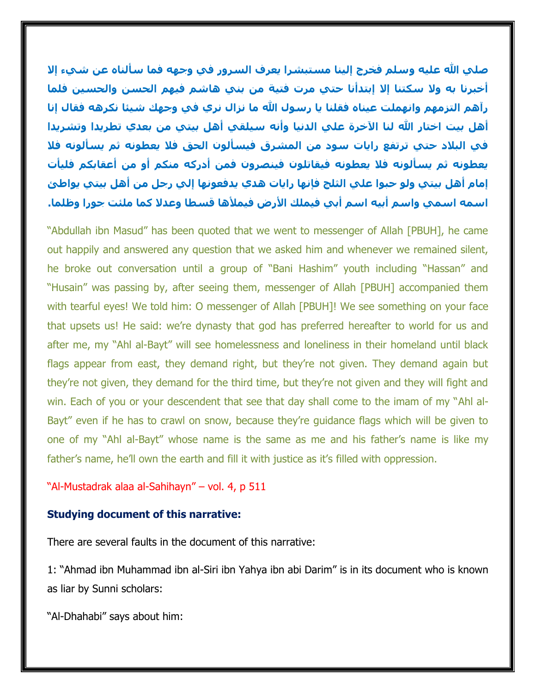**صلي هللا عليه وسلم فخرج إلينا مستبشرا يعرف السرور في وجهه فما سألناه عن شيء إال أخبرنا به وال سكتنا إال إبتدأنا حتي مرت فتية من بني هاشم فيهم الحسن والحسين فلما رآهم التزمهم وانهملت عيناه فقلنا يا رسول هللا ما نزال نري في وجهك شيئا نكرهه فقال إنا أهل بيت اختار هللا لنا اآلخرة علي الدنيا وأنه سيلقي أهل بيتي من بعدي تطريدا وتشريدا في البالد حتي ترتفع رايات سود من المشرق فيسألون الحق فال يعطونه ثم يسألونه فال يعطونه ثم يسألونه فال يعطونه فيقاتلون فينصرون فمن أدركه منكم أو من أعقابكم فليأت إمام أهل بيتي ولو حبوا علي الثلج فإنها رايات هدي يدفعونها إلي رجل من أهل بيتي يواطئ اسمه اسمي واسم أبيه اسم أبي فيملك األرض فيمألها قسطا وعدال كما ملئت جورا وظلما.**

"Abdullah ibn Masud" has been quoted that we went to messenger of Allah [PBUH], he came out happily and answered any question that we asked him and whenever we remained silent, he broke out conversation until a group of "Bani Hashim" youth including "Hassan" and "Husain" was passing by, after seeing them, messenger of Allah [PBUH] accompanied them with tearful eyes! We told him: O messenger of Allah [PBUH]! We see something on your face that upsets us! He said: we're dynasty that god has preferred hereafter to world for us and after me, my "Ahl al-Bayt" will see homelessness and loneliness in their homeland until black flags appear from east, they demand right, but they're not given. They demand again but they're not given, they demand for the third time, but they're not given and they will fight and win. Each of you or your descendent that see that day shall come to the imam of my "Ahl al-Bayt" even if he has to crawl on snow, because they're guidance flags which will be given to one of my "Ahl al-Bayt" whose name is the same as me and his father's name is like my father's name, he'll own the earth and fill it with justice as it's filled with oppression.

"Al-Mustadrak alaa al-Sahihayn" – vol. 4, p 511

#### **Studying document of this narrative:**

There are several faults in the document of this narrative:

1: "Ahmad ibn Muhammad ibn al-Siri ibn Yahya ibn abi Darim" is in its document who is known as liar by Sunni scholars:

"Al-Dhahabi" says about him: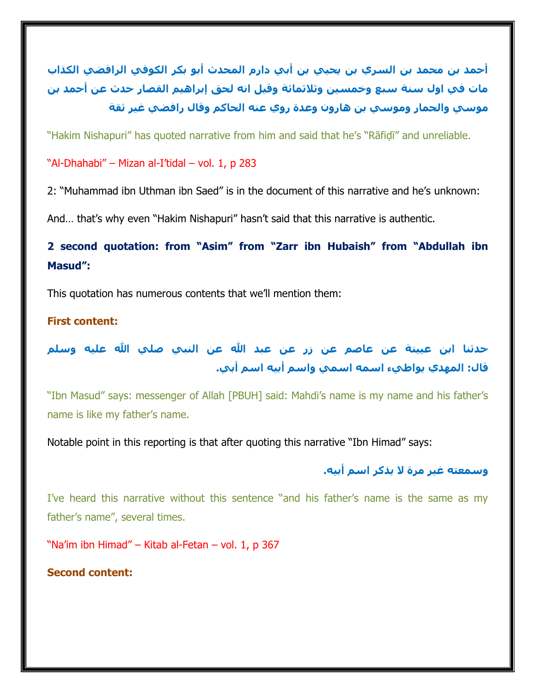**أحمد بن محمد بن السري بن يحيي بن أبي دارم المحدث أبو بكر الكوفي الرافضي الكذاب مات في اول سنة سبع وخمسين وثالثمائة وقيل انه لحق إبراهيم القصار حدث عن أحمد بن موسي والحمار وموسي بن هارون وعدة روي عنه الحاكم وقال رافضي غير ثقة**

"Hakim Nishapuri" has quoted narrative from him and said that he's "Rāfiḍī" and unreliable.

"Al-Dhahabi" – Mizan al-I'tidal – vol. 1, p 283

2: "Muhammad ibn Uthman ibn Saed" is in the document of this narrative and he's unknown:

And… that's why even "Hakim Nishapuri" hasn't said that this narrative is authentic.

**2 second quotation: from "Asim" from "Zarr ibn Hubaish" from "Abdullah ibn Masud":**

This quotation has numerous contents that we'll mention them:

#### **First content:**

**حدثنا ابن عيينة عن عاصم عن زر عن عبد هللا عن النبي صلي هللا عليه وسلم قال: المهدي يواطيء اسمه اسمي واسم أبيه اسم أبي.**

"Ibn Masud" says: messenger of Allah [PBUH] said: Mahdi's name is my name and his father's name is like my father's name.

Notable point in this reporting is that after quoting this narrative "Ibn Himad" says:

## **وسمعته غير مرة ال يذكر اسم أبيه.**

I've heard this narrative without this sentence "and his father's name is the same as my father's name", several times.

"Na'im ibn Himad" – Kitab al-Fetan – vol. 1, p 367

**Second content:**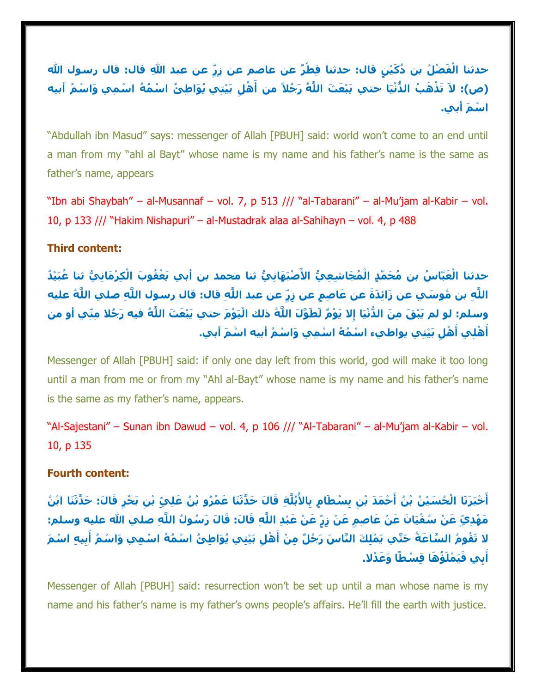حدثنا الْفَضْلُ بن دُكَيْنٍ قال: حدثنا فِطْرٌ عن عاصم عن زِرٍّ عن عبد اللهِ قال: قال رسول الله (ص): لاَ تَذْهَبُ الدُّنْيَا حتي يَبْعَثَ اللَّهُ رَجُلاً من أَهْلِ بَيْتِي يُوَاطِئُ اسْمُهُ اسْمِي وَاسْمُ أبيه **ا ْس َم أبي.**

"Abdullah ibn Masud" says: messenger of Allah [PBUH] said: world won't come to an end until a man from my "ahl al Bayt" whose name is my name and his father's name is the same as father's name, appears

"Ibn abi Shaybah" – al-Musannaf – vol. 7, p 513 /// "al-Tabarani" – al-Mu'jam al-Kabir – vol. 10, p 133 /// "Hakim Nishapuri" – al-Mustadrak alaa al-Sahihayn – vol. 4, p 488

#### **Third content:**

حدثنا الْعَبَّاسُ بن مُحَمَّدٍ الْمُجَاشِعِيُّ الأَصْبَهَانِيُّ ثنا محمد بن أبي يَعْقُوبَ الْكِرْمَانِيُّ ثنا عُبَيْدُ اللَّهِ بن مُوسَبٍ عن زَائِدَةَ عن عَاصِمٍ عن زِرٍّ عن عبد اللَّهِ قال: قال رسول اللَّهِ صلى اللَّهُ عليه وسلم: لو لم يَبْقَ مِنَ الدُّنْيَا إِلا يَوْمٌ لَطَوَّلَ اللَّهُ ذلك الْيَوْمَ حتبي يَبْعَثَ اللَّهُ فيه رَجُلا مِنِّي أو من أَهْلِي أَهْلِ بَيْتِي يواطيء اسْمُهُ اسْمِي وَاسْمُ أبيه اسْمَ أبي.

Messenger of Allah [PBUH] said: if only one day left from this world, god will make it too long until a man from me or from my "Ahl al-Bayt" whose name is my name and his father's name is the same as my father's name, appears.

"Al-Sajestani" – Sunan ibn Dawud – vol. 4, p 106 /// "Al-Tabarani" – al-Mu'jam al-Kabir – vol. 10, p 135

#### **Fourth content:**

أَخْبَرَنَا الْحُسَيْنُ بْنُ أَحْمَدَ بْنِ بِسْطَامٍ بِالأُبُلَّةِ قَالَ حَدَّثَنَا عَمْرُو بْنُ عَلِيّ بْنِ بَحْرٍ قَالَ: حَدَّثَنَا ابْنُ مَهْدِيّ عَنْ سُفْيَانَ عَنْ عَاصِمِ عَنْ زِرّ عَنْ عَبْدِ اللَّهِ قَالَ: قَالَ رَسُولُ اللَّهِ صلحِ الله عليه وسلم: لا تَقُومُ السَّاعَةُ حَتَّي يَمْلِكَ النَّاسَ رَجُلٌ مِنْ أَهْلِ بَيْتِي يُوَاطِئُ اسْمُهُ اسْمِي وَاسْمُ أَبِيهِ اسْمَ **بِي َ َفيَ أ ْملَ ُؤ َها قِ ْسطًا َو َع ْدال.**

Messenger of Allah [PBUH] said: resurrection won't be set up until a man whose name is my name and his father's name is my father's owns people's affairs. He'll fill the earth with justice.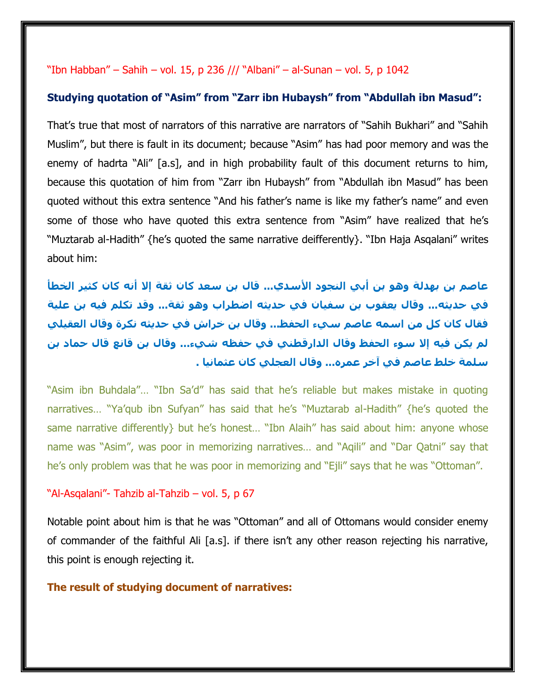#### "Ibn Habban" – Sahih – vol. 15, p 236 /// "Albani" – al-Sunan – vol. 5, p 1042

#### **Studying quotation of "Asim" from "Zarr ibn Hubaysh" from "Abdullah ibn Masud":**

That's true that most of narrators of this narrative are narrators of "Sahih Bukhari" and "Sahih Muslim", but there is fault in its document; because "Asim" has had poor memory and was the enemy of hadrta "Ali" [a.s], and in high probability fault of this document returns to him, because this quotation of him from "Zarr ibn Hubaysh" from "Abdullah ibn Masud" has been quoted without this extra sentence "And his father's name is like my father's name" and even some of those who have quoted this extra sentence from "Asim" have realized that he's "Muztarab al-Hadith" {he's quoted the same narrative deifferently}. "Ibn Haja Asqalani" writes about him:

**عاصم بن بهدلة وهو بن أبي النجود األسدي... قال بن سعد كان ثقة إال أنه كان كثير الخطأ في حديثه... وقال يعقوب بن سفيان في حديثه اضطراب وهو ثقة... وقد تكلم فيه بن علية فقال كان كل من اسمه عاصم سيء الحفظ... وقال بن خراش في حديثه نكرة وقال العقيلي لم يكن فيه إال سوء الحفظ وقال الدارقطني في حفظه شيء... وقال بن قانع قال حماد بن سلمة خلط عاصم في آخر عمره... وقال العجلي كان عثمانيا .**

"Asim ibn Buhdala"… "Ibn Sa'd" has said that he's reliable but makes mistake in quoting narratives… "Ya'qub ibn Sufyan" has said that he's "Muztarab al-Hadith" {he's quoted the same narrative differently but he's honest... "Ibn Alaih" has said about him: anyone whose name was "Asim", was poor in memorizing narratives… and "Aqili" and "Dar Qatni" say that he's only problem was that he was poor in memorizing and "Ejli" says that he was "Ottoman".

#### "Al-Asqalani"- Tahzib al-Tahzib – vol. 5, p 67

Notable point about him is that he was "Ottoman" and all of Ottomans would consider enemy of commander of the faithful Ali [a.s]. if there isn't any other reason rejecting his narrative, this point is enough rejecting it.

#### **The result of studying document of narratives:**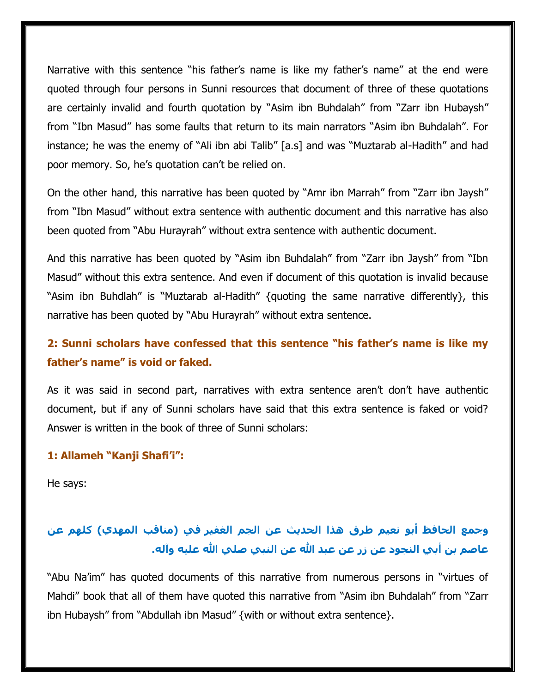Narrative with this sentence "his father's name is like my father's name" at the end were quoted through four persons in Sunni resources that document of three of these quotations are certainly invalid and fourth quotation by "Asim ibn Buhdalah" from "Zarr ibn Hubaysh" from "Ibn Masud" has some faults that return to its main narrators "Asim ibn Buhdalah". For instance; he was the enemy of "Ali ibn abi Talib" [a.s] and was "Muztarab al-Hadith" and had poor memory. So, he's quotation can't be relied on.

On the other hand, this narrative has been quoted by "Amr ibn Marrah" from "Zarr ibn Jaysh" from "Ibn Masud" without extra sentence with authentic document and this narrative has also been quoted from "Abu Hurayrah" without extra sentence with authentic document.

And this narrative has been quoted by "Asim ibn Buhdalah" from "Zarr ibn Jaysh" from "Ibn Masud" without this extra sentence. And even if document of this quotation is invalid because "Asim ibn Buhdlah" is "Muztarab al-Hadith" {quoting the same narrative differently}, this narrative has been quoted by "Abu Hurayrah" without extra sentence.

# **2: Sunni scholars have confessed that this sentence "his father's name is like my father's name" is void or faked.**

As it was said in second part, narratives with extra sentence aren't don't have authentic document, but if any of Sunni scholars have said that this extra sentence is faked or void? Answer is written in the book of three of Sunni scholars:

#### **1: Allameh "Kanji Shafi'i":**

He says:

# **وجمع الحافظ أبو نعيم طرق هذا الحديث عن الجم الغفير في )مناقب المهدي( كلهم عن عاصم بن أبي النجود عن زر عن عبد هللا عن النبي صلي هللا عليه وآله.**

"Abu Na'im" has quoted documents of this narrative from numerous persons in "virtues of Mahdi" book that all of them have quoted this narrative from "Asim ibn Buhdalah" from "Zarr ibn Hubaysh" from "Abdullah ibn Masud" {with or without extra sentence}.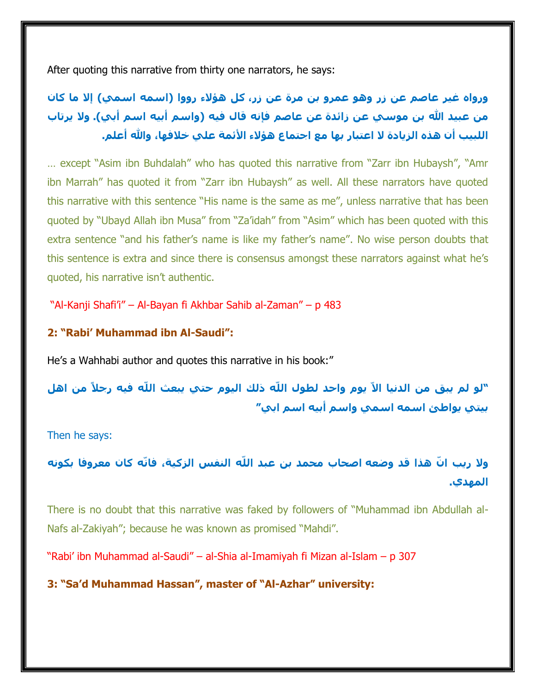After quoting this narrative from thirty one narrators, he says:

**ورواه غير عاصم عن زر وهو عمرو بن مرة عن زر، كل هؤالء رووا )اسمه اسمي( إال ما كان من عبيد هللا بن موسي عن زائدة عن عاصم فإنه قال فيه )واسم أبيه اسم أبي(. وال يرتاب اللبيب أن هذه الزيادة ال اعتبار بها مع اجتماع هؤالء األئمة علي خالفها، وهللا أعلم.**

… except "Asim ibn Buhdalah" who has quoted this narrative from "Zarr ibn Hubaysh", "Amr ibn Marrah" has quoted it from "Zarr ibn Hubaysh" as well. All these narrators have quoted this narrative with this sentence "His name is the same as me", unless narrative that has been quoted by "Ubayd Allah ibn Musa" from "Za'idah" from "Asim" which has been quoted with this extra sentence "and his father's name is like my father's name". No wise person doubts that this sentence is extra and since there is consensus amongst these narrators against what he's quoted, his narrative isn't authentic.

"Al-Kanji Shafi'i" – Al-Bayan fi Akhbar Sahib al-Zaman" – p 483

### **2: "Rabi' Muhammad ibn Al-Saudi":**

He's a Wahhabi author and quotes this narrative in his book:"

**"لو لم يبق من الدنيا االّ يوم واحد لطول اللّه ذلك اليوم حتي يبعث اللّه فيه رجالً من اهل بيتي يواطئ اسمه اسمي واسم أبيه اسم ابي"**

Then he says:

**وال ريب ا ّن هذا قد وضعه اصحاب محمد بن عبد اللّه النفس الزكية، فانّه كان معروفا بكونه المهدي.**

There is no doubt that this narrative was faked by followers of "Muhammad ibn Abdullah al-Nafs al-Zakiyah"; because he was known as promised "Mahdi".

"Rabi' ibn Muhammad al-Saudi" – al-Shia al-Imamiyah fi Mizan al-Islam – p 307

**3: "Sa'd Muhammad Hassan", master of "Al-Azhar" university:**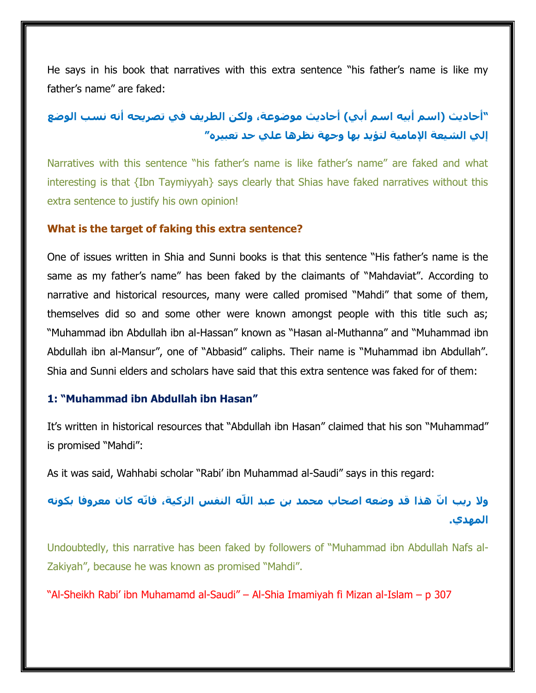He says in his book that narratives with this extra sentence "his father's name is like my father's name" are faked:

# **"أحاديث )اسم أبيه اسم أبي( أحاديث موضوعة، ولكن الطريف في تصريحه أنه نسب الوضع إلي الشيعة اإلمامية لتؤيد بها وجهة نظرها علي حد تعبيره"**

Narratives with this sentence "his father's name is like father's name" are faked and what interesting is that {Ibn Taymiyyah} says clearly that Shias have faked narratives without this extra sentence to justify his own opinion!

#### **What is the target of faking this extra sentence?**

One of issues written in Shia and Sunni books is that this sentence "His father's name is the same as my father's name" has been faked by the claimants of "Mahdaviat". According to narrative and historical resources, many were called promised "Mahdi" that some of them, themselves did so and some other were known amongst people with this title such as; "Muhammad ibn Abdullah ibn al-Hassan" known as "Hasan al-Muthanna" and "Muhammad ibn Abdullah ibn al-Mansur", one of "Abbasid" caliphs. Their name is "Muhammad ibn Abdullah". Shia and Sunni elders and scholars have said that this extra sentence was faked for of them:

#### **1: "Muhammad ibn Abdullah ibn Hasan"**

It's written in historical resources that "Abdullah ibn Hasan" claimed that his son "Muhammad" is promised "Mahdi":

As it was said, Wahhabi scholar "Rabi' ibn Muhammad al-Saudi" says in this regard:

**وال ريب ا ّن هذا قد وضعه اصحاب محمد بن عبد اللّه النفس الزكية، فانّه كان معروفا بكونه المهدي.**

Undoubtedly, this narrative has been faked by followers of "Muhammad ibn Abdullah Nafs al-Zakiyah", because he was known as promised "Mahdi".

"Al-Sheikh Rabi' ibn Muhamamd al-Saudi" – Al-Shia Imamiyah fi Mizan al-Islam – p 307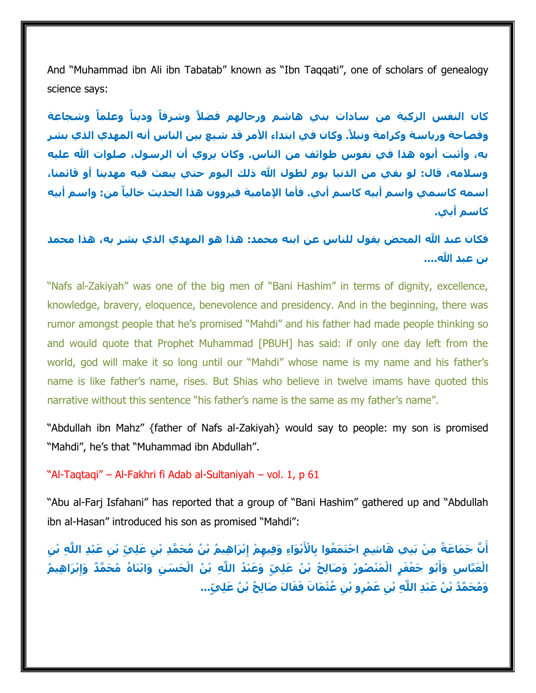And "Muhammad ibn Ali ibn Tabatab" known as "Ibn Taqqati", one of scholars of genealogy science says:

**كان النفس الزكية من سادات بني هاشم ورجالهم فضالً وشرفاً وديناً وعلماً وشجاعة وفصاحة ورياسة وكرامة ونبال.ً وكان في ابتداء األمر قد شيع بين الناس أنه المهدي الذي بشر به، وأثبت أبوه هذا في نفوس طوائف من الناس. وكان يروي أن الرسول، صلوات هللا عليه وسالمه، قال: لو بقي من الدنيا يوم لطول هللا ذلك اليوم حتي يبعث فيه مهدينا أو قائمنا، اسمه كاسمي واسم أبيه كاسم أبي. فأما اإلمامية فيروون هذا الحديث خالياً من: واسم أبيه كاسم أبي.**

**فكان عبد هللا المحض يقول للناس عن ابنه محمد: هذا هو المهدي الذي بشر به، هذا محمد بن عبد الله....** 

"Nafs al-Zakiyah" was one of the big men of "Bani Hashim" in terms of dignity, excellence, knowledge, bravery, eloquence, benevolence and presidency. And in the beginning, there was rumor amongst people that he's promised "Mahdi" and his father had made people thinking so and would quote that Prophet Muhammad [PBUH] has said: if only one day left from the world, god will make it so long until our "Mahdi" whose name is my name and his father's name is like father's name, rises. But Shias who believe in twelve imams have quoted this narrative without this sentence "his father's name is the same as my father's name".

"Abdullah ibn Mahz" {father of Nafs al-Zakiyah} would say to people: my son is promised "Mahdi", he's that "Muhammad ibn Abdullah".

#### "Al-Taqtaqi" – Al-Fakhri fi Adab al-Sultaniyah – vol. 1, p 61

"Abu al-Farj Isfahani" has reported that a group of "Bani Hashim" gathered up and "Abdullah ibn al-Hasan" introduced his son as promised "Mahdi":

أَنَّ جَمَاعَةً مِنْ بَنِي هَاشِمٍ اجْتَمَعُوا بِالْأَبْوَاءِ وَفِيهِمْ إِبْرَاهِيمُ بْنُ مُحَمَّدِ بْنِ عَلِيّ بْنِ عَبْدِ اللَّهِ بْنِ الْعَبَّاسِ وَأَبُو جَعْفَرٍ الْمَنْصُورُ وَصَالِحُ بْنُ عَلِيٍّ وَعَبْدُ اللَّهِ بْنُ الْحَسَنِ وَابْنَاهُ مُحَمَّدٌ وَإِبْرَاهِيمُ وَمُحَمَّدُ بْنُ عَبْدِ اللَّهِ بْنِ عَمْرِو بْنِ عُثْمَانَ فَقَالَ صَالِحُ بْنُ عَلِيٍّ...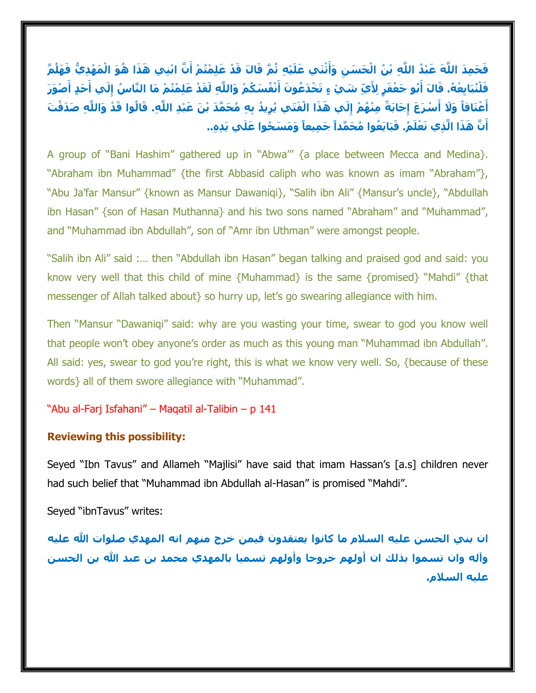فَحَمِدَ اللَّهَ عَبْدُ اللَّهِ بْنُ الْحَسَنِ وَأَثْنَى عَلَيْهِ ثُمَّ قَالَ قَدْ عَلِمْتُمْ أَنَّ ابْنِي هَذَا هُوَ الْمَهْدِيُّ فَهَلُمَّ فَلْنُبَابِعْهُ. قَالَ أَبُو جَعْفَرٍ لِأَيِّ شَيْ ءٍ تَخْدَعُونَ أَنْفُسَكُمْ وَاللَّهِ لَقَدْ عَلِمْتُمْ مَا النَّاسُ إِلَي أَحَدٍ أَصْوَرَ أَعْنَاقاً وَلَا أَسْرَعَ إِجَابَةً مِنْهُمْ إِلَي هَذَا الْفَتَي يُرِيدُ بِهِ مُحَمَّدَ بْنَ عَبْدِ اللَّهِ. قَالُوا قَدْ وَاللَّهِ صَدَقْتَ أَنَّ هَذَا الَّذِي نَعْلَمُ. فَبَايَعُوا مُحَمَّداً جَمِيعاً وَمَسَحُوا عَلَي يَدِهِ..

A group of "Bani Hashim" gathered up in "Abwa'" {a place between Mecca and Medina}. "Abraham ibn Muhammad" {the first Abbasid caliph who was known as imam "Abraham"}, "Abu Ja'far Mansur" {known as Mansur Dawaniqi}, "Salih ibn Ali" {Mansur's uncle}, "Abdullah ibn Hasan" {son of Hasan Muthanna} and his two sons named "Abraham" and "Muhammad", and "Muhammad ibn Abdullah", son of "Amr ibn Uthman" were amongst people.

"Salih ibn Ali" said :… then "Abdullah ibn Hasan" began talking and praised god and said: you know very well that this child of mine {Muhammad} is the same {promised} "Mahdi" {that messenger of Allah talked about} so hurry up, let's go swearing allegiance with him.

Then "Mansur "Dawaniqi" said: why are you wasting your time, swear to god you know well that people won't obey anyone's order as much as this young man "Muhammad ibn Abdullah". All said: yes, swear to god you're right, this is what we know very well. So, {because of these words} all of them swore allegiance with "Muhammad".

#### "Abu al-Farj Isfahani" – Maqatil al-Talibin – p 141

#### **Reviewing this possibility:**

Seyed "Ibn Tavus" and Allameh "Majlisi" have said that imam Hassan's [a.s] children never had such belief that "Muhammad ibn Abdullah al-Hasan" is promised "Mahdi".

Seyed "ibnTavus" writes:

**ان بني الحسن عليه السالم ما كانوا يعتقدون فيمن خرج منهم انه المهدي صلوات هللا عليه وآله وان تسموا بذلك ان أولهم خروجا وأولهم تسميا بالمهدي محمد بن عبد هللا بن الحسن عليه السالم.**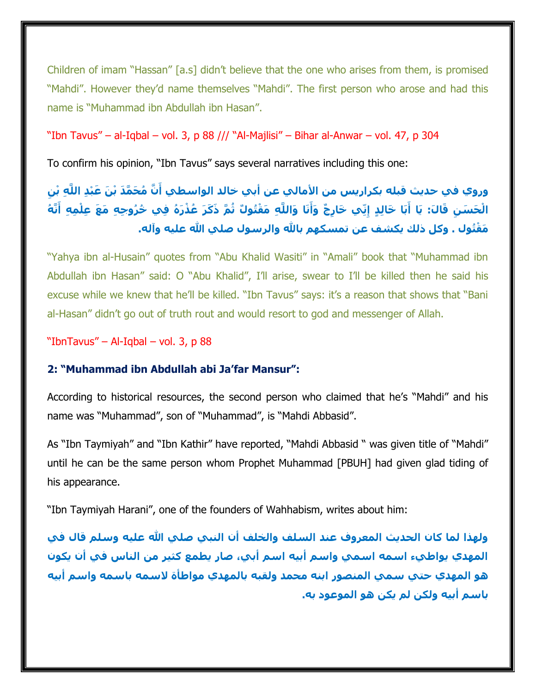Children of imam "Hassan" [a.s] didn't believe that the one who arises from them, is promised "Mahdi". However they'd name themselves "Mahdi". The first person who arose and had this name is "Muhammad ibn Abdullah ibn Hasan".

"Ibn Tavus" – al-Iqbal – vol. 3, p 88 /// "Al-Majlisi" – Bihar al-Anwar – vol. 47, p 304

To confirm his opinion, "Ibn Tavus" says several narratives including this one:

# وروي في حديث قبله بكراريس من الأمالي عن أبي خالد الواسطي أَنَّ مُحَمَّدَ بْنَ عَبْدِ اللَّهِ بْنِ الْحَسَنِ قَالَ: يَا أَبَا خَالِدٍ إِنِّي خَارِجٌ وَأَنَا وَاللَّهِ مَقْتُوكٌ ثُمَّ ذَكَرَ عُذْرَهُ فِي خُرُوجِهِ مَعَ عِلْمِهِ أَنَّهُ **ُتول . َم ْق وكل ذلك يكشف عن تمسكهم باهلل والرسول صلي هللا عليه وآله.**

"Yahya ibn al-Husain" quotes from "Abu Khalid Wasiti" in "Amali" book that "Muhammad ibn Abdullah ibn Hasan" said: O "Abu Khalid", I'll arise, swear to I'll be killed then he said his excuse while we knew that he'll be killed. "Ibn Tavus" says: it's a reason that shows that "Bani al-Hasan" didn't go out of truth rout and would resort to god and messenger of Allah.

"IbnTavus" – Al-Iqbal – vol. 3, p 88

## **2: "Muhammad ibn Abdullah abi Ja'far Mansur":**

According to historical resources, the second person who claimed that he's "Mahdi" and his name was "Muhammad", son of "Muhammad", is "Mahdi Abbasid".

As "Ibn Taymiyah" and "Ibn Kathir" have reported, "Mahdi Abbasid " was given title of "Mahdi" until he can be the same person whom Prophet Muhammad [PBUH] had given glad tiding of his appearance.

"Ibn Taymiyah Harani", one of the founders of Wahhabism, writes about him:

**ولهذا لما كان الحديث المعروف عند السلف والخلف أن النبي صلي هللا عليه وسلم قال في المهدي يواطيء اسمه اسمي واسم أبيه اسم أبي، صار يطمع كثير من الناس في أن يكون هو المهدي حتي سمي المنصور ابنه محمد ولقبه بالمهدي مواطأة السمه باسمه واسم أبيه باسم أبيه ولكن لم يكن هو الموعود به.**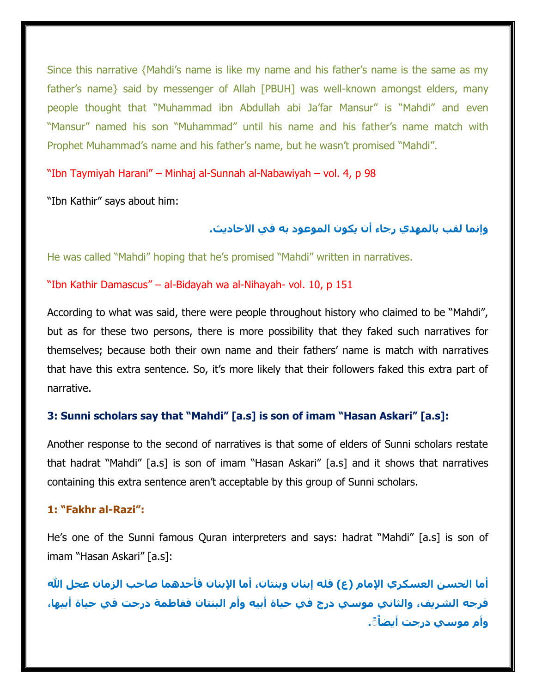Since this narrative {Mahdi's name is like my name and his father's name is the same as my father's name} said by messenger of Allah [PBUH] was well-known amongst elders, many people thought that "Muhammad ibn Abdullah abi Ja'far Mansur" is "Mahdi" and even "Mansur" named his son "Muhammad" until his name and his father's name match with Prophet Muhammad's name and his father's name, but he wasn't promised "Mahdi".

"Ibn Taymiyah Harani" – Minhaj al-Sunnah al-Nabawiyah – vol. 4, p 98

"Ibn Kathir" says about him:

**وإنما لقب بالمهدي رجاء أن يكون الموعود به في االحاديث.**

He was called "Mahdi" hoping that he's promised "Mahdi" written in narratives.

"Ibn Kathir Damascus" – al-Bidayah wa al-Nihayah- vol. 10, p 151

According to what was said, there were people throughout history who claimed to be "Mahdi", but as for these two persons, there is more possibility that they faked such narratives for themselves; because both their own name and their fathers' name is match with narratives that have this extra sentence. So, it's more likely that their followers faked this extra part of narrative.

#### **3: Sunni scholars say that "Mahdi" [a.s] is son of imam "Hasan Askari" [a.s]:**

Another response to the second of narratives is that some of elders of Sunni scholars restate that hadrat "Mahdi" [a.s] is son of imam "Hasan Askari" [a.s] and it shows that narratives containing this extra sentence aren't acceptable by this group of Sunni scholars.

#### **1: "Fakhr al-Razi":**

He's one of the Sunni famous Quran interpreters and says: hadrat "Mahdi" [a.s] is son of imam "Hasan Askari" [a.s]:

**أما الحسن العسكري اإلمام )ع( فله إبنان وبنتان، أما اإلبنان فأحدهما صاحب الزمان عجل هللا فرجه الشريف، والثاني موسي درج في حياة أبيه وأم البنتان ففاطمة درجت في حياة أبيها، .ًً وأم موسي درجت أيضاً**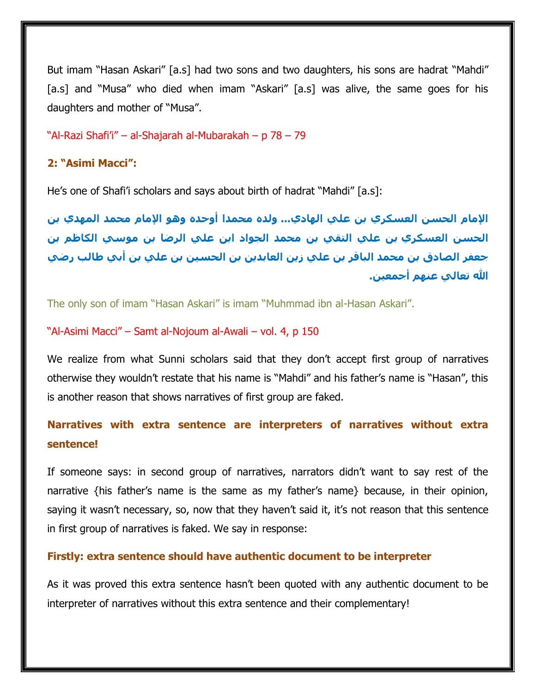But imam "Hasan Askari" [a.s] had two sons and two daughters, his sons are hadrat "Mahdi" [a.s] and "Musa" who died when imam "Askari" [a.s] was alive, the same goes for his daughters and mother of "Musa".

"Al-Razi Shafi'i" – al-Shajarah al-Mubarakah – p 78 – 79

#### **2: "Asimi Macci":**

He's one of Shafi'i scholars and says about birth of hadrat "Mahdi" [a.s]:

**اإلمام الحسن العسكري بن علي الهادي... ولده محمدا أوحده وهو اإلمام محمد المهدي بن الحسن العسكري بن علي التقي بن محمد الجواد ابن علي الرضا بن موسي الكاظم بن جعفر الصادق بن محمد الباقر بن علي زين العابدين بن الحسين بن علي بن أبي طالب رضي هللا تعالي عنهم أجمعين.**

The only son of imam "Hasan Askari" is imam "Muhmmad ibn al-Hasan Askari".

#### "Al-Asimi Macci" – Samt al-Nojoum al-Awali – vol. 4, p 150

We realize from what Sunni scholars said that they don't accept first group of narratives otherwise they wouldn't restate that his name is "Mahdi" and his father's name is "Hasan", this is another reason that shows narratives of first group are faked.

## **Narratives with extra sentence are interpreters of narratives without extra sentence!**

If someone says: in second group of narratives, narrators didn't want to say rest of the narrative {his father's name is the same as my father's name} because, in their opinion, saying it wasn't necessary, so, now that they haven't said it, it's not reason that this sentence in first group of narratives is faked. We say in response:

#### **Firstly: extra sentence should have authentic document to be interpreter**

As it was proved this extra sentence hasn't been quoted with any authentic document to be interpreter of narratives without this extra sentence and their complementary!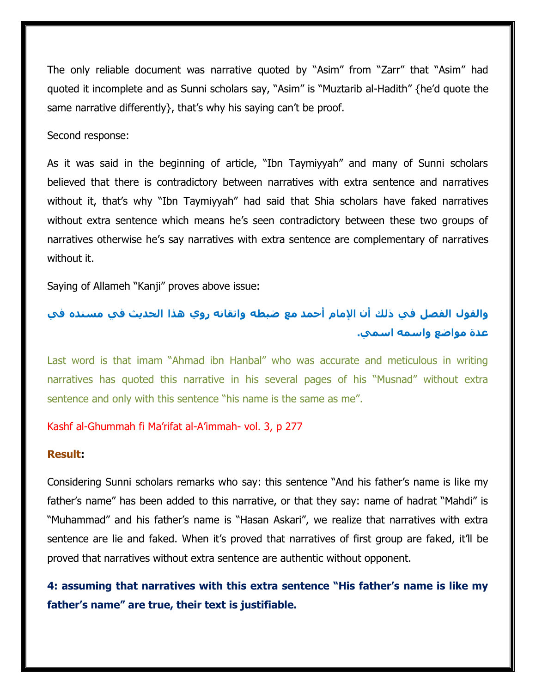The only reliable document was narrative quoted by "Asim" from "Zarr" that "Asim" had quoted it incomplete and as Sunni scholars say, "Asim" is "Muztarib al-Hadith" {he'd quote the same narrative differently}, that's why his saying can't be proof.

Second response:

As it was said in the beginning of article, "Ibn Taymiyyah" and many of Sunni scholars believed that there is contradictory between narratives with extra sentence and narratives without it, that's why "Ibn Taymiyyah" had said that Shia scholars have faked narratives without extra sentence which means he's seen contradictory between these two groups of narratives otherwise he's say narratives with extra sentence are complementary of narratives without it.

Saying of Allameh "Kanji" proves above issue:

# **والقول الفصل في ذلك أن اإلمام أحمد مع ضبطه واتقانه روي هذا الحديث في مسنده في عدة مواضع واسمه اسمي.**

Last word is that imam "Ahmad ibn Hanbal" who was accurate and meticulous in writing narratives has quoted this narrative in his several pages of his "Musnad" without extra sentence and only with this sentence "his name is the same as me".

Kashf al-Ghummah fi Ma'rifat al-A'immah- vol. 3, p 277

#### **Result:**

Considering Sunni scholars remarks who say: this sentence "And his father's name is like my father's name" has been added to this narrative, or that they say: name of hadrat "Mahdi" is "Muhammad" and his father's name is "Hasan Askari", we realize that narratives with extra sentence are lie and faked. When it's proved that narratives of first group are faked, it'll be proved that narratives without extra sentence are authentic without opponent.

**4: assuming that narratives with this extra sentence "His father's name is like my father's name" are true, their text is justifiable.**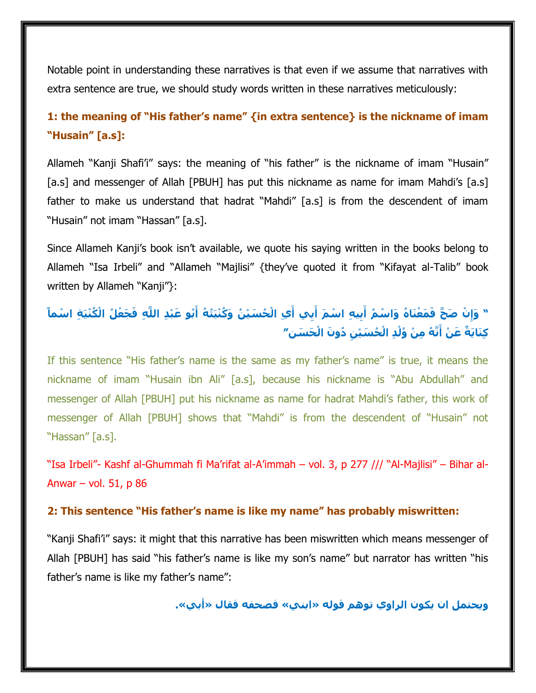Notable point in understanding these narratives is that even if we assume that narratives with extra sentence are true, we should study words written in these narratives meticulously:

# **1: the meaning of "His father's name" {in extra sentence} is the nickname of imam "Husain" [a.s]:**

Allameh "Kanji Shafi'i" says: the meaning of "his father" is the nickname of imam "Husain" [a.s] and messenger of Allah [PBUH] has put this nickname as name for imam Mahdi's [a.s] father to make us understand that hadrat "Mahdi" [a.s] is from the descendent of imam "Husain" not imam "Hassan" [a.s].

Since Allameh Kanji's book isn't available, we quote his saying written in the books belong to Allameh "Isa Irbeli" and "Allameh "Majlisi" {they've quoted it from "Kifayat al-Talib" book written by Allameh "Kanji"}:

# " وَإِنْ صَحَّ فَمَعْنَاهُ وَاسْمُ أَبِيهِ اسْمَ أَبِي أَيِ الْحُسَيْنُ وَكُنْيَتُهُ أَبُو عَبْدِ اللَّهِ فَجَعْلُ الْكُنْيَةِ اسْماً كِنَايَةٌ عَنْ أَنَّهُ مِنْ وُلْدِ الْحُسَيْنِ دُونَ الْحَسَنِ"

If this sentence "His father's name is the same as my father's name" is true, it means the nickname of imam "Husain ibn Ali" [a.s], because his nickname is "Abu Abdullah" and messenger of Allah [PBUH] put his nickname as name for hadrat Mahdi's father, this work of messenger of Allah [PBUH] shows that "Mahdi" is from the descendent of "Husain" not "Hassan" [a.s].

"Isa Irbeli"- Kashf al-Ghummah fi Ma'rifat al-A'immah – vol. 3, p 277 /// "Al-Majlisi" – Bihar al-Anwar – vol.  $51$ , p 86

#### **2: This sentence "His father's name is like my name" has probably miswritten:**

"Kanji Shafi'i" says: it might that this narrative has been miswritten which means messenger of Allah [PBUH] has said "his father's name is like my son's name" but narrator has written "his father's name is like my father's name":

**ويحتمل ان يكون الراوي توهم قوله »ابني« فصحفه فقال »أبي«.**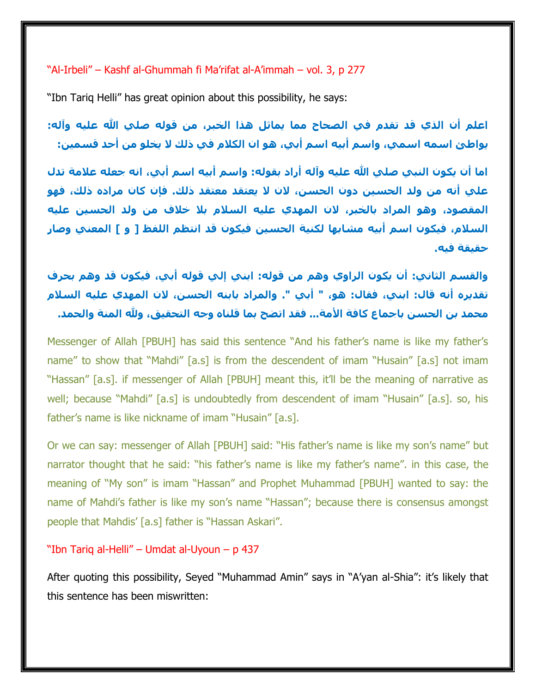"Al-Irbeli" – Kashf al-Ghummah fi Ma'rifat al-A'immah – vol. 3, p 277

"Ibn Tariq Helli" has great opinion about this possibility, he says:

**اعلم أن الذي قد تقدم في الصحاح مما يماثل هذا الخبر، من قوله صلي هللا عليه وآله: يواطئ اسمه اسمي، واسم أبيه اسم أبي، هو ان الكالم في ذلك ال يخلو من أحد قسمين:**

**اما أن يكون النبي صلي هللا عليه وآله أراد بقوله: واسم أبيه اسم أبي، انه جعله عالمة تدل علي أنه من ولد الحسين دون الحسن، الن ال يعتقد معتقد ذلك. فإن كان مراده ذلك، فهو المقصود، وهو المراد بالخبر، الن المهدي عليه السالم بال خالف من ولد الحسين عليه السالم، فيكون اسم أبيه مشابها لكنية الحسين فيكون قد انتظم اللفظ ] و [ المعني وصار حقيقة فيه.**

**والقسم الثاني: أن يكون الراوي وهم من قوله: ابني إلي قوله أبي، فيكون قد وهم بحرف تقديره أنه قال: ابني، فقال: هو، " أبي ". والمراد بابنه الحسن، الن المهدي عليه السالم محمد بن الحسن باجماع كافة األمة... فقد اتضح بما قلناه وجه التحقيق، وهلل المنة والحمد.**

Messenger of Allah [PBUH] has said this sentence "And his father's name is like my father's name" to show that "Mahdi" [a.s] is from the descendent of imam "Husain" [a.s] not imam "Hassan" [a.s]. if messenger of Allah [PBUH] meant this, it'll be the meaning of narrative as well; because "Mahdi" [a.s] is undoubtedly from descendent of imam "Husain" [a.s]. so, his father's name is like nickname of imam "Husain" [a.s].

Or we can say: messenger of Allah [PBUH] said: "His father's name is like my son's name" but narrator thought that he said: "his father's name is like my father's name". in this case, the meaning of "My son" is imam "Hassan" and Prophet Muhammad [PBUH] wanted to say: the name of Mahdi's father is like my son's name "Hassan"; because there is consensus amongst people that Mahdis' [a.s] father is "Hassan Askari".

#### "Ibn Tariq al-Helli" – Umdat al-Uyoun – p 437

After quoting this possibility, Seyed "Muhammad Amin" says in "A'yan al-Shia": it's likely that this sentence has been miswritten: